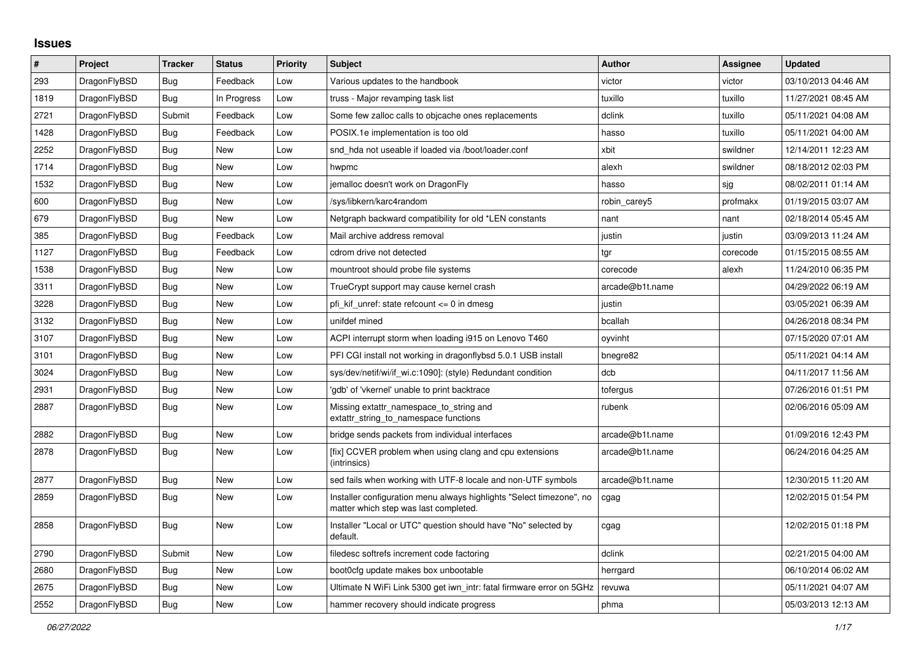## **Issues**

| $\vert$ # | Project      | <b>Tracker</b> | <b>Status</b> | Priority | <b>Subject</b>                                                                                                | <b>Author</b>   | Assignee | <b>Updated</b>      |
|-----------|--------------|----------------|---------------|----------|---------------------------------------------------------------------------------------------------------------|-----------------|----------|---------------------|
| 293       | DragonFlyBSD | Bug            | Feedback      | Low      | Various updates to the handbook                                                                               | victor          | victor   | 03/10/2013 04:46 AM |
| 1819      | DragonFlyBSD | <b>Bug</b>     | In Progress   | Low      | truss - Major revamping task list                                                                             | tuxillo         | tuxillo  | 11/27/2021 08:45 AM |
| 2721      | DragonFlyBSD | Submit         | Feedback      | Low      | Some few zalloc calls to objcache ones replacements                                                           | dclink          | tuxillo  | 05/11/2021 04:08 AM |
| 1428      | DragonFlyBSD | Bug            | Feedback      | Low      | POSIX.1e implementation is too old                                                                            | hasso           | tuxillo  | 05/11/2021 04:00 AM |
| 2252      | DragonFlyBSD | Bug            | New           | Low      | snd hda not useable if loaded via /boot/loader.conf                                                           | xbit            | swildner | 12/14/2011 12:23 AM |
| 1714      | DragonFlyBSD | Bug            | <b>New</b>    | Low      | hwpmc                                                                                                         | alexh           | swildner | 08/18/2012 02:03 PM |
| 1532      | DragonFlyBSD | Bug            | New           | Low      | jemalloc doesn't work on DragonFly                                                                            | hasso           | sjg      | 08/02/2011 01:14 AM |
| 600       | DragonFlyBSD | <b>Bug</b>     | New           | Low      | /sys/libkern/karc4random                                                                                      | robin carey5    | profmakx | 01/19/2015 03:07 AM |
| 679       | DragonFlyBSD | Bug            | <b>New</b>    | Low      | Netgraph backward compatibility for old *LEN constants                                                        | nant            | nant     | 02/18/2014 05:45 AM |
| 385       | DragonFlyBSD | Bug            | Feedback      | Low      | Mail archive address removal                                                                                  | justin          | justin   | 03/09/2013 11:24 AM |
| 1127      | DragonFlyBSD | Bug            | Feedback      | Low      | cdrom drive not detected                                                                                      | tgr             | corecode | 01/15/2015 08:55 AM |
| 1538      | DragonFlyBSD | Bug            | New           | Low      | mountroot should probe file systems                                                                           | corecode        | alexh    | 11/24/2010 06:35 PM |
| 3311      | DragonFlyBSD | Bug            | <b>New</b>    | Low      | TrueCrypt support may cause kernel crash                                                                      | arcade@b1t.name |          | 04/29/2022 06:19 AM |
| 3228      | DragonFlyBSD | <b>Bug</b>     | <b>New</b>    | Low      | pfi kif unref: state refcount <= 0 in dmesg                                                                   | justin          |          | 03/05/2021 06:39 AM |
| 3132      | DragonFlyBSD | Bug            | New           | Low      | unifdef mined                                                                                                 | bcallah         |          | 04/26/2018 08:34 PM |
| 3107      | DragonFlyBSD | <b>Bug</b>     | New           | Low      | ACPI interrupt storm when loading i915 on Lenovo T460                                                         | oyvinht         |          | 07/15/2020 07:01 AM |
| 3101      | DragonFlyBSD | Bug            | <b>New</b>    | Low      | PFI CGI install not working in dragonflybsd 5.0.1 USB install                                                 | bnegre82        |          | 05/11/2021 04:14 AM |
| 3024      | DragonFlyBSD | <b>Bug</b>     | <b>New</b>    | Low      | sys/dev/netif/wi/if_wi.c:1090]: (style) Redundant condition                                                   | dcb             |          | 04/11/2017 11:56 AM |
| 2931      | DragonFlyBSD | Bug            | New           | Low      | 'gdb' of 'vkernel' unable to print backtrace                                                                  | tofergus        |          | 07/26/2016 01:51 PM |
| 2887      | DragonFlyBSD | Bug            | New           | Low      | Missing extattr_namespace_to_string and<br>extattr_string_to_namespace functions                              | rubenk          |          | 02/06/2016 05:09 AM |
| 2882      | DragonFlyBSD | Bug            | New           | Low      | bridge sends packets from individual interfaces                                                               | arcade@b1t.name |          | 01/09/2016 12:43 PM |
| 2878      | DragonFlyBSD | <b>Bug</b>     | <b>New</b>    | Low      | [fix] CCVER problem when using clang and cpu extensions<br>(intrinsics)                                       | arcade@b1t.name |          | 06/24/2016 04:25 AM |
| 2877      | DragonFlyBSD | Bug            | New           | Low      | sed fails when working with UTF-8 locale and non-UTF symbols                                                  | arcade@b1t.name |          | 12/30/2015 11:20 AM |
| 2859      | DragonFlyBSD | Bug            | New           | Low      | Installer configuration menu always highlights "Select timezone", no<br>matter which step was last completed. | cgag            |          | 12/02/2015 01:54 PM |
| 2858      | DragonFlyBSD | Bug            | New           | Low      | Installer "Local or UTC" question should have "No" selected by<br>default.                                    | cgag            |          | 12/02/2015 01:18 PM |
| 2790      | DragonFlyBSD | Submit         | New           | Low      | filedesc softrefs increment code factoring                                                                    | dclink          |          | 02/21/2015 04:00 AM |
| 2680      | DragonFlyBSD | Bug            | New           | Low      | boot0cfg update makes box unbootable                                                                          | herrgard        |          | 06/10/2014 06:02 AM |
| 2675      | DragonFlyBSD | <b>Bug</b>     | <b>New</b>    | Low      | Ultimate N WiFi Link 5300 get iwn_intr: fatal firmware error on 5GHz                                          | revuwa          |          | 05/11/2021 04:07 AM |
| 2552      | DragonFlyBSD | Bug            | New           | Low      | hammer recovery should indicate progress                                                                      | phma            |          | 05/03/2013 12:13 AM |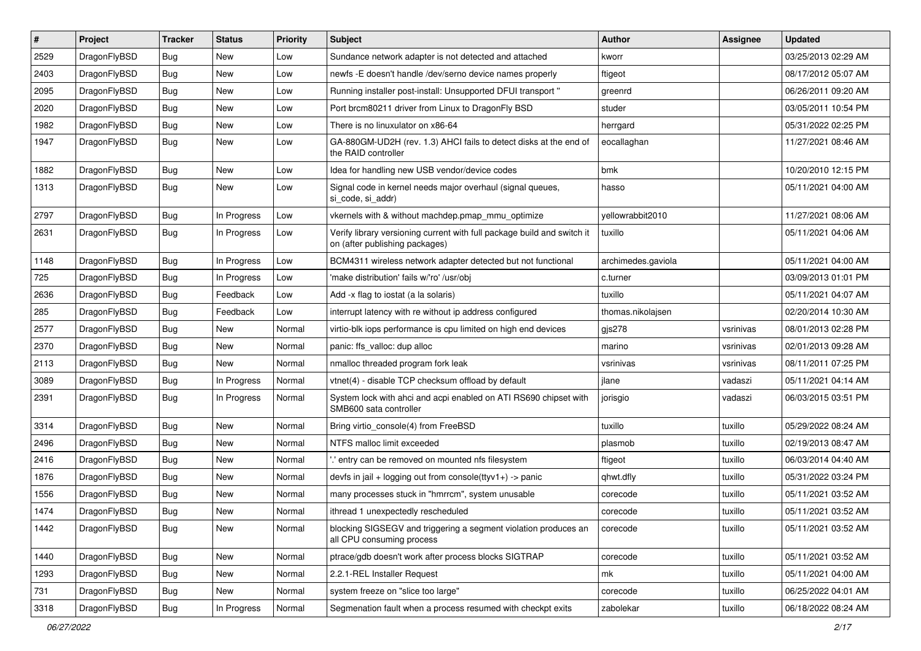| ∦    | Project      | <b>Tracker</b> | <b>Status</b> | <b>Priority</b> | <b>Subject</b>                                                                                            | Author             | Assignee  | <b>Updated</b>      |
|------|--------------|----------------|---------------|-----------------|-----------------------------------------------------------------------------------------------------------|--------------------|-----------|---------------------|
| 2529 | DragonFlyBSD | <b>Bug</b>     | <b>New</b>    | Low             | Sundance network adapter is not detected and attached                                                     | kworr              |           | 03/25/2013 02:29 AM |
| 2403 | DragonFlyBSD | <b>Bug</b>     | <b>New</b>    | Low             | newfs -E doesn't handle /dev/serno device names properly                                                  | ftigeot            |           | 08/17/2012 05:07 AM |
| 2095 | DragonFlyBSD | Bug            | <b>New</b>    | Low             | Running installer post-install: Unsupported DFUI transport "                                              | greenrd            |           | 06/26/2011 09:20 AM |
| 2020 | DragonFlyBSD | Bug            | <b>New</b>    | Low             | Port brcm80211 driver from Linux to DragonFly BSD                                                         | studer             |           | 03/05/2011 10:54 PM |
| 1982 | DragonFlyBSD | Bug            | <b>New</b>    | Low             | There is no linuxulator on x86-64                                                                         | herrgard           |           | 05/31/2022 02:25 PM |
| 1947 | DragonFlyBSD | Bug            | New           | Low             | GA-880GM-UD2H (rev. 1.3) AHCI fails to detect disks at the end of<br>the RAID controller                  | eocallaghan        |           | 11/27/2021 08:46 AM |
| 1882 | DragonFlyBSD | <b>Bug</b>     | <b>New</b>    | Low             | Idea for handling new USB vendor/device codes                                                             | bmk                |           | 10/20/2010 12:15 PM |
| 1313 | DragonFlyBSD | Bug            | <b>New</b>    | Low             | Signal code in kernel needs major overhaul (signal queues,<br>si_code, si_addr)                           | hasso              |           | 05/11/2021 04:00 AM |
| 2797 | DragonFlyBSD | <b>Bug</b>     | In Progress   | Low             | vkernels with & without machdep.pmap_mmu_optimize                                                         | yellowrabbit2010   |           | 11/27/2021 08:06 AM |
| 2631 | DragonFlyBSD | Bug            | In Progress   | Low             | Verify library versioning current with full package build and switch it<br>on (after publishing packages) | tuxillo            |           | 05/11/2021 04:06 AM |
| 1148 | DragonFlyBSD | Bug            | In Progress   | Low             | BCM4311 wireless network adapter detected but not functional                                              | archimedes.gaviola |           | 05/11/2021 04:00 AM |
| 725  | DragonFlyBSD | Bug            | In Progress   | Low             | 'make distribution' fails w/'ro' /usr/obj                                                                 | c.turner           |           | 03/09/2013 01:01 PM |
| 2636 | DragonFlyBSD | <b>Bug</b>     | Feedback      | Low             | Add -x flag to iostat (a la solaris)                                                                      | tuxillo            |           | 05/11/2021 04:07 AM |
| 285  | DragonFlyBSD | Bug            | Feedback      | Low             | interrupt latency with re without ip address configured                                                   | thomas.nikolajsen  |           | 02/20/2014 10:30 AM |
| 2577 | DragonFlyBSD | <b>Bug</b>     | <b>New</b>    | Normal          | virtio-blk iops performance is cpu limited on high end devices                                            | gjs278             | vsrinivas | 08/01/2013 02:28 PM |
| 2370 | DragonFlyBSD | Bug            | <b>New</b>    | Normal          | panic: ffs valloc: dup alloc                                                                              | marino             | vsrinivas | 02/01/2013 09:28 AM |
| 2113 | DragonFlyBSD | Bug            | <b>New</b>    | Normal          | nmalloc threaded program fork leak                                                                        | vsrinivas          | vsrinivas | 08/11/2011 07:25 PM |
| 3089 | DragonFlyBSD | <b>Bug</b>     | In Progress   | Normal          | vtnet(4) - disable TCP checksum offload by default                                                        | jlane              | vadaszi   | 05/11/2021 04:14 AM |
| 2391 | DragonFlyBSD | Bug            | In Progress   | Normal          | System lock with ahci and acpi enabled on ATI RS690 chipset with<br>SMB600 sata controller                | jorisgio           | vadaszi   | 06/03/2015 03:51 PM |
| 3314 | DragonFlyBSD | <b>Bug</b>     | New           | Normal          | Bring virtio console(4) from FreeBSD                                                                      | tuxillo            | tuxillo   | 05/29/2022 08:24 AM |
| 2496 | DragonFlyBSD | Bug            | <b>New</b>    | Normal          | NTFS malloc limit exceeded                                                                                | plasmob            | tuxillo   | 02/19/2013 08:47 AM |
| 2416 | DragonFlyBSD | <b>Bug</b>     | <b>New</b>    | Normal          | ' entry can be removed on mounted nfs filesystem                                                          | ftigeot            | tuxillo   | 06/03/2014 04:40 AM |
| 1876 | DragonFlyBSD | <b>Bug</b>     | <b>New</b>    | Normal          | devfs in jail + logging out from console(ttyv1+) -> panic                                                 | qhwt.dfly          | tuxillo   | 05/31/2022 03:24 PM |
| 1556 | DragonFlyBSD | Bug            | <b>New</b>    | Normal          | many processes stuck in "hmrrcm", system unusable                                                         | corecode           | tuxillo   | 05/11/2021 03:52 AM |
| 1474 | DragonFlyBSD | <b>Bug</b>     | New           | Normal          | ithread 1 unexpectedly rescheduled                                                                        | corecode           | tuxillo   | 05/11/2021 03:52 AM |
| 1442 | DragonFlyBSD | <b>Bug</b>     | New           | Normal          | blocking SIGSEGV and triggering a segment violation produces an<br>all CPU consuming process              | corecode           | tuxillo   | 05/11/2021 03:52 AM |
| 1440 | DragonFlyBSD | <b>Bug</b>     | New           | Normal          | ptrace/gdb doesn't work after process blocks SIGTRAP                                                      | corecode           | tuxillo   | 05/11/2021 03:52 AM |
| 1293 | DragonFlyBSD | <b>Bug</b>     | New           | Normal          | 2.2.1-REL Installer Request                                                                               | mk                 | tuxillo   | 05/11/2021 04:00 AM |
| 731  | DragonFlyBSD | <b>Bug</b>     | New           | Normal          | system freeze on "slice too large"                                                                        | corecode           | tuxillo   | 06/25/2022 04:01 AM |
| 3318 | DragonFlyBSD | <b>Bug</b>     | In Progress   | Normal          | Segmenation fault when a process resumed with checkpt exits                                               | zabolekar          | tuxillo   | 06/18/2022 08:24 AM |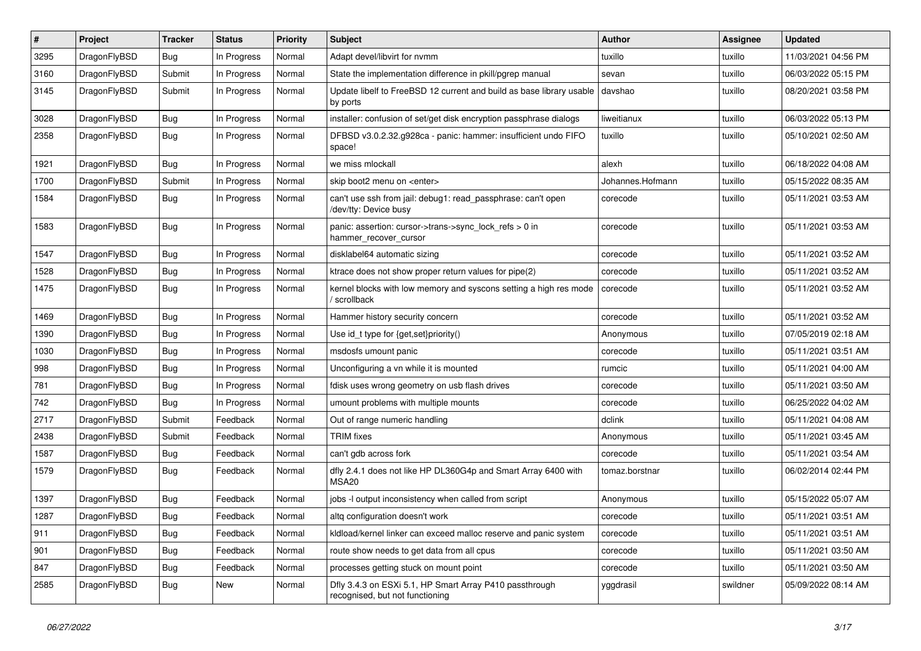| $\sharp$ | Project      | <b>Tracker</b> | <b>Status</b> | <b>Priority</b> | Subject                                                                                    | <b>Author</b>    | Assignee | <b>Updated</b>      |
|----------|--------------|----------------|---------------|-----------------|--------------------------------------------------------------------------------------------|------------------|----------|---------------------|
| 3295     | DragonFlyBSD | Bug            | In Progress   | Normal          | Adapt devel/libvirt for nvmm                                                               | tuxillo          | tuxillo  | 11/03/2021 04:56 PM |
| 3160     | DragonFlyBSD | Submit         | In Progress   | Normal          | State the implementation difference in pkill/pgrep manual                                  | sevan            | tuxillo  | 06/03/2022 05:15 PM |
| 3145     | DragonFlyBSD | Submit         | In Progress   | Normal          | Update libelf to FreeBSD 12 current and build as base library usable<br>by ports           | davshao          | tuxillo  | 08/20/2021 03:58 PM |
| 3028     | DragonFlyBSD | Bug            | In Progress   | Normal          | installer: confusion of set/get disk encryption passphrase dialogs                         | liweitianux      | tuxillo  | 06/03/2022 05:13 PM |
| 2358     | DragonFlyBSD | <b>Bug</b>     | In Progress   | Normal          | DFBSD v3.0.2.32.g928ca - panic: hammer: insufficient undo FIFO<br>space!                   | tuxillo          | tuxillo  | 05/10/2021 02:50 AM |
| 1921     | DragonFlyBSD | Bug            | In Progress   | Normal          | we miss mlockall                                                                           | alexh            | tuxillo  | 06/18/2022 04:08 AM |
| 1700     | DragonFlyBSD | Submit         | In Progress   | Normal          | skip boot2 menu on <enter></enter>                                                         | Johannes.Hofmann | tuxillo  | 05/15/2022 08:35 AM |
| 1584     | DragonFlyBSD | Bug            | In Progress   | Normal          | can't use ssh from jail: debug1: read_passphrase: can't open<br>/dev/tty: Device busy      | corecode         | tuxillo  | 05/11/2021 03:53 AM |
| 1583     | DragonFlyBSD | Bug            | In Progress   | Normal          | panic: assertion: cursor->trans->sync_lock_refs > 0 in<br>hammer_recover_cursor            | corecode         | tuxillo  | 05/11/2021 03:53 AM |
| 1547     | DragonFlyBSD | Bug            | In Progress   | Normal          | disklabel64 automatic sizing                                                               | corecode         | tuxillo  | 05/11/2021 03:52 AM |
| 1528     | DragonFlyBSD | Bug            | In Progress   | Normal          | ktrace does not show proper return values for pipe(2)                                      | corecode         | tuxillo  | 05/11/2021 03:52 AM |
| 1475     | DragonFlyBSD | Bug            | In Progress   | Normal          | kernel blocks with low memory and syscons setting a high res mode<br>/ scrollback          | corecode         | tuxillo  | 05/11/2021 03:52 AM |
| 1469     | DragonFlyBSD | Bug            | In Progress   | Normal          | Hammer history security concern                                                            | corecode         | tuxillo  | 05/11/2021 03:52 AM |
| 1390     | DragonFlyBSD | Bug            | In Progress   | Normal          | Use id_t type for {get,set}priority()                                                      | Anonymous        | tuxillo  | 07/05/2019 02:18 AM |
| 1030     | DragonFlyBSD | <b>Bug</b>     | In Progress   | Normal          | msdosfs umount panic                                                                       | corecode         | tuxillo  | 05/11/2021 03:51 AM |
| 998      | DragonFlyBSD | Bug            | In Progress   | Normal          | Unconfiguring a vn while it is mounted                                                     | rumcic           | tuxillo  | 05/11/2021 04:00 AM |
| 781      | DragonFlyBSD | Bug            | In Progress   | Normal          | fdisk uses wrong geometry on usb flash drives                                              | corecode         | tuxillo  | 05/11/2021 03:50 AM |
| 742      | DragonFlyBSD | Bug            | In Progress   | Normal          | umount problems with multiple mounts                                                       | corecode         | tuxillo  | 06/25/2022 04:02 AM |
| 2717     | DragonFlyBSD | Submit         | Feedback      | Normal          | Out of range numeric handling                                                              | dclink           | tuxillo  | 05/11/2021 04:08 AM |
| 2438     | DragonFlyBSD | Submit         | Feedback      | Normal          | <b>TRIM</b> fixes                                                                          | Anonymous        | tuxillo  | 05/11/2021 03:45 AM |
| 1587     | DragonFlyBSD | <b>Bug</b>     | Feedback      | Normal          | can't gdb across fork                                                                      | corecode         | tuxillo  | 05/11/2021 03:54 AM |
| 1579     | DragonFlyBSD | <b>Bug</b>     | Feedback      | Normal          | dfly 2.4.1 does not like HP DL360G4p and Smart Array 6400 with<br>MSA20                    | tomaz.borstnar   | tuxillo  | 06/02/2014 02:44 PM |
| 1397     | DragonFlyBSD | Bug            | Feedback      | Normal          | jobs -I output inconsistency when called from script                                       | Anonymous        | tuxillo  | 05/15/2022 05:07 AM |
| 1287     | DragonFlyBSD | Bug            | Feedback      | Normal          | altg configuration doesn't work                                                            | corecode         | tuxillo  | 05/11/2021 03:51 AM |
| 911      | DragonFlyBSD | Bug            | Feedback      | Normal          | kldload/kernel linker can exceed malloc reserve and panic system                           | corecode         | tuxillo  | 05/11/2021 03:51 AM |
| 901      | DragonFlyBSD | <b>Bug</b>     | Feedback      | Normal          | route show needs to get data from all cpus                                                 | corecode         | tuxillo  | 05/11/2021 03:50 AM |
| 847      | DragonFlyBSD | <b>Bug</b>     | Feedback      | Normal          | processes getting stuck on mount point                                                     | corecode         | tuxillo  | 05/11/2021 03:50 AM |
| 2585     | DragonFlyBSD | <b>Bug</b>     | New           | Normal          | Dfly 3.4.3 on ESXi 5.1, HP Smart Array P410 passthrough<br>recognised, but not functioning | yggdrasil        | swildner | 05/09/2022 08:14 AM |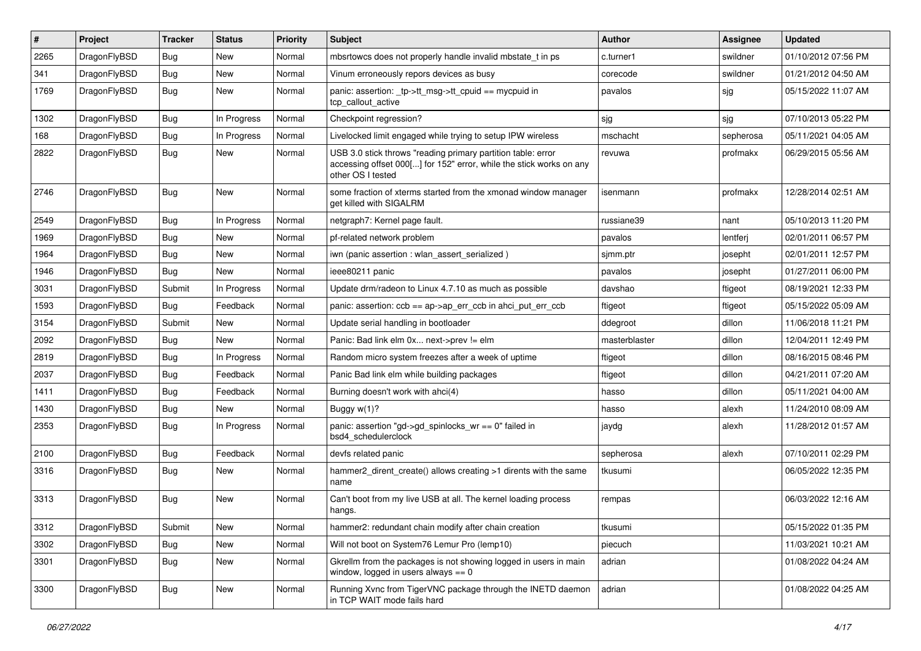| $\sharp$ | Project      | <b>Tracker</b> | <b>Status</b> | <b>Priority</b> | <b>Subject</b>                                                                                                                                           | Author        | Assignee  | <b>Updated</b>      |
|----------|--------------|----------------|---------------|-----------------|----------------------------------------------------------------------------------------------------------------------------------------------------------|---------------|-----------|---------------------|
| 2265     | DragonFlyBSD | <b>Bug</b>     | <b>New</b>    | Normal          | mbsrtowcs does not properly handle invalid mbstate_t in ps                                                                                               | c.turner1     | swildner  | 01/10/2012 07:56 PM |
| 341      | DragonFlyBSD | <b>Bug</b>     | <b>New</b>    | Normal          | Vinum erroneously repors devices as busy                                                                                                                 | corecode      | swildner  | 01/21/2012 04:50 AM |
| 1769     | DragonFlyBSD | <b>Bug</b>     | <b>New</b>    | Normal          | panic: assertion: _tp->tt_msg->tt_cpuid == mycpuid in<br>tcp_callout_active                                                                              | pavalos       | sjg       | 05/15/2022 11:07 AM |
| 1302     | DragonFlyBSD | <b>Bug</b>     | In Progress   | Normal          | Checkpoint regression?                                                                                                                                   | sjg           | sjg       | 07/10/2013 05:22 PM |
| 168      | DragonFlyBSD | <b>Bug</b>     | In Progress   | Normal          | Livelocked limit engaged while trying to setup IPW wireless                                                                                              | mschacht      | sepherosa | 05/11/2021 04:05 AM |
| 2822     | DragonFlyBSD | <b>Bug</b>     | <b>New</b>    | Normal          | USB 3.0 stick throws "reading primary partition table: error<br>accessing offset 000[] for 152" error, while the stick works on any<br>other OS I tested | revuwa        | profmakx  | 06/29/2015 05:56 AM |
| 2746     | DragonFlyBSD | Bug            | <b>New</b>    | Normal          | some fraction of xterms started from the xmonad window manager<br>get killed with SIGALRM                                                                | isenmann      | profmakx  | 12/28/2014 02:51 AM |
| 2549     | DragonFlyBSD | <b>Bug</b>     | In Progress   | Normal          | netgraph7: Kernel page fault.                                                                                                                            | russiane39    | nant      | 05/10/2013 11:20 PM |
| 1969     | DragonFlyBSD | Bug            | <b>New</b>    | Normal          | pf-related network problem                                                                                                                               | pavalos       | lentferj  | 02/01/2011 06:57 PM |
| 1964     | DragonFlyBSD | <b>Bug</b>     | <b>New</b>    | Normal          | iwn (panic assertion : wlan assert serialized)                                                                                                           | sjmm.ptr      | josepht   | 02/01/2011 12:57 PM |
| 1946     | DragonFlyBSD | Bug            | <b>New</b>    | Normal          | ieee80211 panic                                                                                                                                          | pavalos       | josepht   | 01/27/2011 06:00 PM |
| 3031     | DragonFlyBSD | Submit         | In Progress   | Normal          | Update drm/radeon to Linux 4.7.10 as much as possible                                                                                                    | davshao       | ftigeot   | 08/19/2021 12:33 PM |
| 1593     | DragonFlyBSD | Bug            | Feedback      | Normal          | panic: assertion: ccb == ap->ap err ccb in ahci put err ccb                                                                                              | ftigeot       | ftigeot   | 05/15/2022 05:09 AM |
| 3154     | DragonFlyBSD | Submit         | <b>New</b>    | Normal          | Update serial handling in bootloader                                                                                                                     | ddegroot      | dillon    | 11/06/2018 11:21 PM |
| 2092     | DragonFlyBSD | <b>Bug</b>     | New           | Normal          | Panic: Bad link elm 0x next->prev != elm                                                                                                                 | masterblaster | dillon    | 12/04/2011 12:49 PM |
| 2819     | DragonFlyBSD | <b>Bug</b>     | In Progress   | Normal          | Random micro system freezes after a week of uptime                                                                                                       | ftigeot       | dillon    | 08/16/2015 08:46 PM |
| 2037     | DragonFlyBSD | <b>Bug</b>     | Feedback      | Normal          | Panic Bad link elm while building packages                                                                                                               | ftigeot       | dillon    | 04/21/2011 07:20 AM |
| 1411     | DragonFlyBSD | <b>Bug</b>     | Feedback      | Normal          | Burning doesn't work with ahci(4)                                                                                                                        | hasso         | dillon    | 05/11/2021 04:00 AM |
| 1430     | DragonFlyBSD | <b>Bug</b>     | <b>New</b>    | Normal          | Buggy w(1)?                                                                                                                                              | hasso         | alexh     | 11/24/2010 08:09 AM |
| 2353     | DragonFlyBSD | Bug            | In Progress   | Normal          | panic: assertion "gd->gd_spinlocks_wr == 0" failed in<br>bsd4_schedulerclock                                                                             | jaydg         | alexh     | 11/28/2012 01:57 AM |
| 2100     | DragonFlyBSD | <b>Bug</b>     | Feedback      | Normal          | devfs related panic                                                                                                                                      | sepherosa     | alexh     | 07/10/2011 02:29 PM |
| 3316     | DragonFlyBSD | Bug            | <b>New</b>    | Normal          | hammer2_dirent_create() allows creating >1 dirents with the same<br>name                                                                                 | tkusumi       |           | 06/05/2022 12:35 PM |
| 3313     | DragonFlyBSD | <b>Bug</b>     | <b>New</b>    | Normal          | Can't boot from my live USB at all. The kernel loading process<br>hangs.                                                                                 | rempas        |           | 06/03/2022 12:16 AM |
| 3312     | DragonFlyBSD | Submit         | <b>New</b>    | Normal          | hammer2: redundant chain modify after chain creation                                                                                                     | tkusumi       |           | 05/15/2022 01:35 PM |
| 3302     | DragonFlyBSD | <b>Bug</b>     | New           | Normal          | Will not boot on System76 Lemur Pro (lemp10)                                                                                                             | piecuch       |           | 11/03/2021 10:21 AM |
| 3301     | DragonFlyBSD | <b>Bug</b>     | New           | Normal          | Gkrellm from the packages is not showing logged in users in main<br>window, logged in users always $== 0$                                                | adrian        |           | 01/08/2022 04:24 AM |
| 3300     | DragonFlyBSD | Bug            | New           | Normal          | Running Xvnc from TigerVNC package through the INETD daemon<br>in TCP WAIT mode fails hard                                                               | adrian        |           | 01/08/2022 04:25 AM |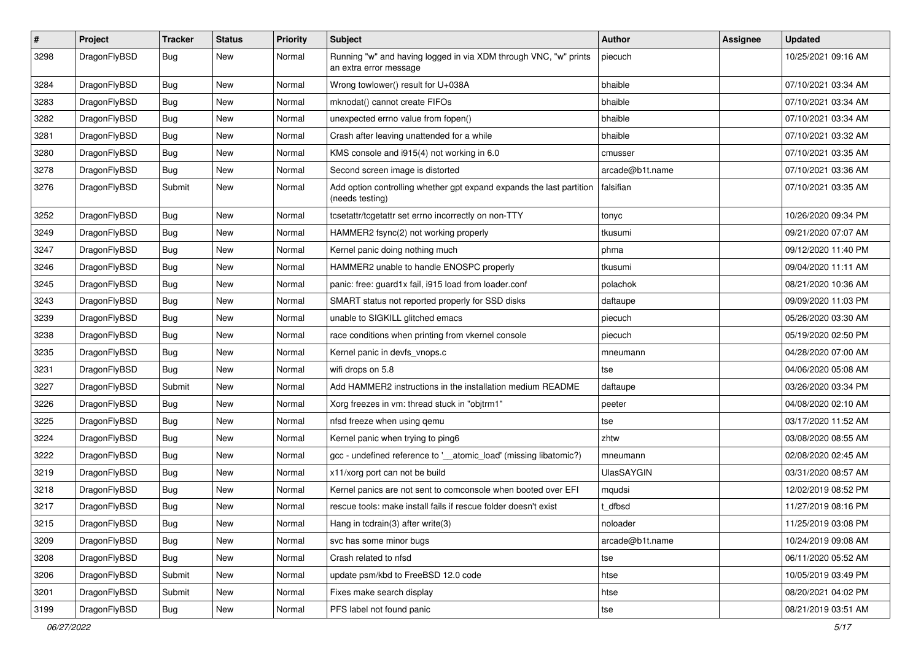| $\pmb{\#}$ | Project      | <b>Tracker</b> | <b>Status</b> | <b>Priority</b> | Subject                                                                                    | Author            | <b>Assignee</b> | <b>Updated</b>      |
|------------|--------------|----------------|---------------|-----------------|--------------------------------------------------------------------------------------------|-------------------|-----------------|---------------------|
| 3298       | DragonFlyBSD | Bug            | <b>New</b>    | Normal          | Running "w" and having logged in via XDM through VNC, "w" prints<br>an extra error message | piecuch           |                 | 10/25/2021 09:16 AM |
| 3284       | DragonFlyBSD | <b>Bug</b>     | <b>New</b>    | Normal          | Wrong towlower() result for U+038A                                                         | bhaible           |                 | 07/10/2021 03:34 AM |
| 3283       | DragonFlyBSD | <b>Bug</b>     | <b>New</b>    | Normal          | mknodat() cannot create FIFOs                                                              | bhaible           |                 | 07/10/2021 03:34 AM |
| 3282       | DragonFlyBSD | Bug            | <b>New</b>    | Normal          | unexpected errno value from fopen()                                                        | bhaible           |                 | 07/10/2021 03:34 AM |
| 3281       | DragonFlyBSD | <b>Bug</b>     | New           | Normal          | Crash after leaving unattended for a while                                                 | bhaible           |                 | 07/10/2021 03:32 AM |
| 3280       | DragonFlyBSD | Bug            | New           | Normal          | KMS console and i915(4) not working in 6.0                                                 | cmusser           |                 | 07/10/2021 03:35 AM |
| 3278       | DragonFlyBSD | Bug            | New           | Normal          | Second screen image is distorted                                                           | arcade@b1t.name   |                 | 07/10/2021 03:36 AM |
| 3276       | DragonFlyBSD | Submit         | <b>New</b>    | Normal          | Add option controlling whether gpt expand expands the last partition<br>(needs testing)    | falsifian         |                 | 07/10/2021 03:35 AM |
| 3252       | DragonFlyBSD | <b>Bug</b>     | <b>New</b>    | Normal          | tcsetattr/tcgetattr set errno incorrectly on non-TTY                                       | tonyc             |                 | 10/26/2020 09:34 PM |
| 3249       | DragonFlyBSD | Bug            | <b>New</b>    | Normal          | HAMMER2 fsync(2) not working properly                                                      | tkusumi           |                 | 09/21/2020 07:07 AM |
| 3247       | DragonFlyBSD | <b>Bug</b>     | <b>New</b>    | Normal          | Kernel panic doing nothing much                                                            | phma              |                 | 09/12/2020 11:40 PM |
| 3246       | DragonFlyBSD | Bug            | New           | Normal          | HAMMER2 unable to handle ENOSPC properly                                                   | tkusumi           |                 | 09/04/2020 11:11 AM |
| 3245       | DragonFlyBSD | Bug            | New           | Normal          | panic: free: guard1x fail, i915 load from loader.conf                                      | polachok          |                 | 08/21/2020 10:36 AM |
| 3243       | DragonFlyBSD | Bug            | <b>New</b>    | Normal          | SMART status not reported properly for SSD disks                                           | daftaupe          |                 | 09/09/2020 11:03 PM |
| 3239       | DragonFlyBSD | Bug            | <b>New</b>    | Normal          | unable to SIGKILL glitched emacs                                                           | piecuch           |                 | 05/26/2020 03:30 AM |
| 3238       | DragonFlyBSD | Bug            | New           | Normal          | race conditions when printing from vkernel console                                         | piecuch           |                 | 05/19/2020 02:50 PM |
| 3235       | DragonFlyBSD | Bug            | New           | Normal          | Kernel panic in devfs vnops.c                                                              | mneumann          |                 | 04/28/2020 07:00 AM |
| 3231       | DragonFlyBSD | <b>Bug</b>     | <b>New</b>    | Normal          | wifi drops on 5.8                                                                          | tse               |                 | 04/06/2020 05:08 AM |
| 3227       | DragonFlyBSD | Submit         | New           | Normal          | Add HAMMER2 instructions in the installation medium README                                 | daftaupe          |                 | 03/26/2020 03:34 PM |
| 3226       | DragonFlyBSD | <b>Bug</b>     | New           | Normal          | Xorg freezes in vm: thread stuck in "objtrm1"                                              | peeter            |                 | 04/08/2020 02:10 AM |
| 3225       | DragonFlyBSD | Bug            | New           | Normal          | nfsd freeze when using qemu                                                                | tse               |                 | 03/17/2020 11:52 AM |
| 3224       | DragonFlyBSD | <b>Bug</b>     | <b>New</b>    | Normal          | Kernel panic when trying to ping6                                                          | zhtw              |                 | 03/08/2020 08:55 AM |
| 3222       | DragonFlyBSD | Bug            | <b>New</b>    | Normal          | gcc - undefined reference to '__atomic_load' (missing libatomic?)                          | mneumann          |                 | 02/08/2020 02:45 AM |
| 3219       | DragonFlyBSD | <b>Bug</b>     | <b>New</b>    | Normal          | x11/xorg port can not be build                                                             | <b>UlasSAYGIN</b> |                 | 03/31/2020 08:57 AM |
| 3218       | DragonFlyBSD | Bug            | New           | Normal          | Kernel panics are not sent to comconsole when booted over EFI                              | mqudsi            |                 | 12/02/2019 08:52 PM |
| 3217       | DragonFlyBSD | Bug            | New           | Normal          | rescue tools: make install fails if rescue folder doesn't exist                            | dfbsd             |                 | 11/27/2019 08:16 PM |
| 3215       | DragonFlyBSD | <b>Bug</b>     | New           | Normal          | Hang in tcdrain(3) after write(3)                                                          | noloader          |                 | 11/25/2019 03:08 PM |
| 3209       | DragonFlyBSD | <b>Bug</b>     | New           | Normal          | svc has some minor bugs                                                                    | arcade@b1t.name   |                 | 10/24/2019 09:08 AM |
| 3208       | DragonFlyBSD | <b>Bug</b>     | New           | Normal          | Crash related to nfsd                                                                      | tse               |                 | 06/11/2020 05:52 AM |
| 3206       | DragonFlyBSD | Submit         | New           | Normal          | update psm/kbd to FreeBSD 12.0 code                                                        | htse              |                 | 10/05/2019 03:49 PM |
| 3201       | DragonFlyBSD | Submit         | New           | Normal          | Fixes make search display                                                                  | htse              |                 | 08/20/2021 04:02 PM |
| 3199       | DragonFlyBSD | <b>Bug</b>     | New           | Normal          | PFS label not found panic                                                                  | tse               |                 | 08/21/2019 03:51 AM |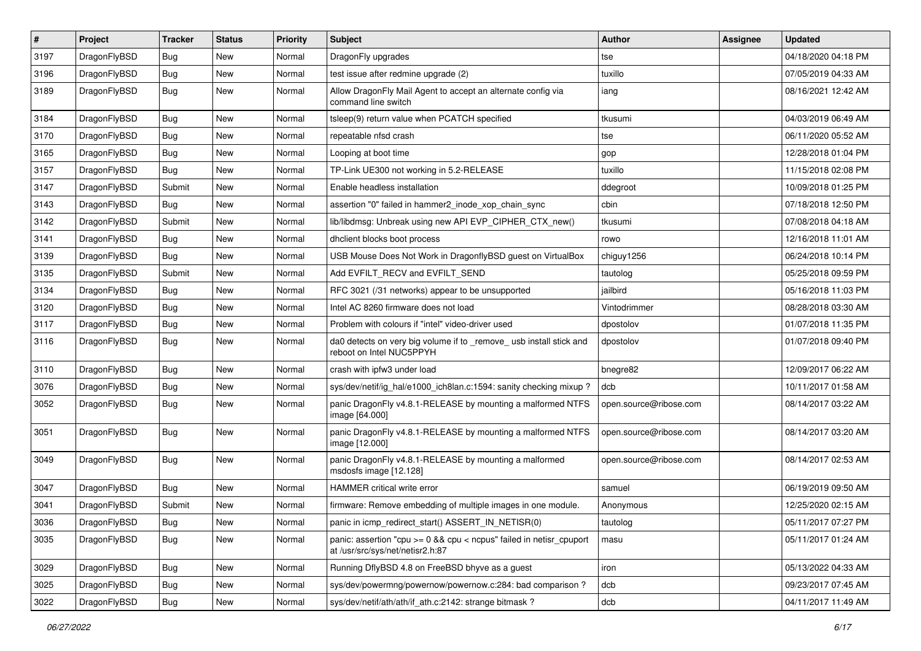| $\sharp$ | Project      | <b>Tracker</b> | <b>Status</b> | <b>Priority</b> | Subject                                                                                                 | Author                 | <b>Assignee</b> | <b>Updated</b>      |
|----------|--------------|----------------|---------------|-----------------|---------------------------------------------------------------------------------------------------------|------------------------|-----------------|---------------------|
| 3197     | DragonFlyBSD | <b>Bug</b>     | <b>New</b>    | Normal          | DragonFly upgrades                                                                                      | tse                    |                 | 04/18/2020 04:18 PM |
| 3196     | DragonFlyBSD | <b>Bug</b>     | <b>New</b>    | Normal          | test issue after redmine upgrade (2)                                                                    | tuxillo                |                 | 07/05/2019 04:33 AM |
| 3189     | DragonFlyBSD | Bug            | New           | Normal          | Allow DragonFly Mail Agent to accept an alternate config via<br>command line switch                     | iang                   |                 | 08/16/2021 12:42 AM |
| 3184     | DragonFlyBSD | Bug            | <b>New</b>    | Normal          | tsleep(9) return value when PCATCH specified                                                            | tkusumi                |                 | 04/03/2019 06:49 AM |
| 3170     | DragonFlyBSD | Bug            | <b>New</b>    | Normal          | repeatable nfsd crash                                                                                   | tse                    |                 | 06/11/2020 05:52 AM |
| 3165     | DragonFlyBSD | Bug            | <b>New</b>    | Normal          | Looping at boot time                                                                                    | gop                    |                 | 12/28/2018 01:04 PM |
| 3157     | DragonFlyBSD | <b>Bug</b>     | New           | Normal          | TP-Link UE300 not working in 5.2-RELEASE                                                                | tuxillo                |                 | 11/15/2018 02:08 PM |
| 3147     | DragonFlyBSD | Submit         | New           | Normal          | Enable headless installation                                                                            | ddegroot               |                 | 10/09/2018 01:25 PM |
| 3143     | DragonFlyBSD | Bug            | <b>New</b>    | Normal          | assertion "0" failed in hammer2 inode xop chain sync                                                    | cbin                   |                 | 07/18/2018 12:50 PM |
| 3142     | DragonFlyBSD | Submit         | New           | Normal          | lib/libdmsg: Unbreak using new API EVP_CIPHER_CTX_new()                                                 | tkusumi                |                 | 07/08/2018 04:18 AM |
| 3141     | DragonFlyBSD | Bug            | <b>New</b>    | Normal          | dhclient blocks boot process                                                                            | rowo                   |                 | 12/16/2018 11:01 AM |
| 3139     | DragonFlyBSD | <b>Bug</b>     | New           | Normal          | USB Mouse Does Not Work in DragonflyBSD guest on VirtualBox                                             | chiguy1256             |                 | 06/24/2018 10:14 PM |
| 3135     | DragonFlyBSD | Submit         | New           | Normal          | Add EVFILT RECV and EVFILT SEND                                                                         | tautolog               |                 | 05/25/2018 09:59 PM |
| 3134     | DragonFlyBSD | Bug            | <b>New</b>    | Normal          | RFC 3021 (/31 networks) appear to be unsupported                                                        | jailbird               |                 | 05/16/2018 11:03 PM |
| 3120     | DragonFlyBSD | <b>Bug</b>     | New           | Normal          | Intel AC 8260 firmware does not load                                                                    | Vintodrimmer           |                 | 08/28/2018 03:30 AM |
| 3117     | DragonFlyBSD | <b>Bug</b>     | New           | Normal          | Problem with colours if "intel" video-driver used                                                       | dpostolov              |                 | 01/07/2018 11:35 PM |
| 3116     | DragonFlyBSD | Bug            | <b>New</b>    | Normal          | da0 detects on very big volume if to _remove_ usb install stick and<br>reboot on Intel NUC5PPYH         | dpostolov              |                 | 01/07/2018 09:40 PM |
| 3110     | DragonFlyBSD | Bug            | <b>New</b>    | Normal          | crash with ipfw3 under load                                                                             | bnegre82               |                 | 12/09/2017 06:22 AM |
| 3076     | DragonFlyBSD | <b>Bug</b>     | New           | Normal          | sys/dev/netif/ig hal/e1000 ich8lan.c:1594: sanity checking mixup?                                       | dcb                    |                 | 10/11/2017 01:58 AM |
| 3052     | DragonFlyBSD | <b>Bug</b>     | New           | Normal          | panic DragonFly v4.8.1-RELEASE by mounting a malformed NTFS<br>image [64.000]                           | open.source@ribose.com |                 | 08/14/2017 03:22 AM |
| 3051     | DragonFlyBSD | Bug            | New           | Normal          | panic DragonFly v4.8.1-RELEASE by mounting a malformed NTFS<br>image [12.000]                           | open.source@ribose.com |                 | 08/14/2017 03:20 AM |
| 3049     | DragonFlyBSD | Bug            | New           | Normal          | panic DragonFly v4.8.1-RELEASE by mounting a malformed<br>msdosfs image [12.128]                        | open.source@ribose.com |                 | 08/14/2017 02:53 AM |
| 3047     | DragonFlyBSD | Bug            | <b>New</b>    | Normal          | <b>HAMMER</b> critical write error                                                                      | samuel                 |                 | 06/19/2019 09:50 AM |
| 3041     | DragonFlyBSD | Submit         | New           | Normal          | firmware: Remove embedding of multiple images in one module.                                            | Anonymous              |                 | 12/25/2020 02:15 AM |
| 3036     | DragonFlyBSD | <b>Bug</b>     | New           | Normal          | panic in icmp_redirect_start() ASSERT_IN_NETISR(0)                                                      | tautolog               |                 | 05/11/2017 07:27 PM |
| 3035     | DragonFlyBSD | Bug            | New           | Normal          | panic: assertion "cpu >= 0 && cpu < ncpus" failed in netisr_cpuport<br>at /usr/src/sys/net/netisr2.h:87 | masu                   |                 | 05/11/2017 01:24 AM |
| 3029     | DragonFlyBSD | <b>Bug</b>     | New           | Normal          | Running DflyBSD 4.8 on FreeBSD bhyve as a guest                                                         | iron                   |                 | 05/13/2022 04:33 AM |
| 3025     | DragonFlyBSD | Bug            | <b>New</b>    | Normal          | sys/dev/powermng/powernow/powernow.c:284: bad comparison?                                               | dcb                    |                 | 09/23/2017 07:45 AM |
| 3022     | DragonFlyBSD | <b>Bug</b>     | New           | Normal          | sys/dev/netif/ath/ath/if ath.c:2142: strange bitmask?                                                   | dcb                    |                 | 04/11/2017 11:49 AM |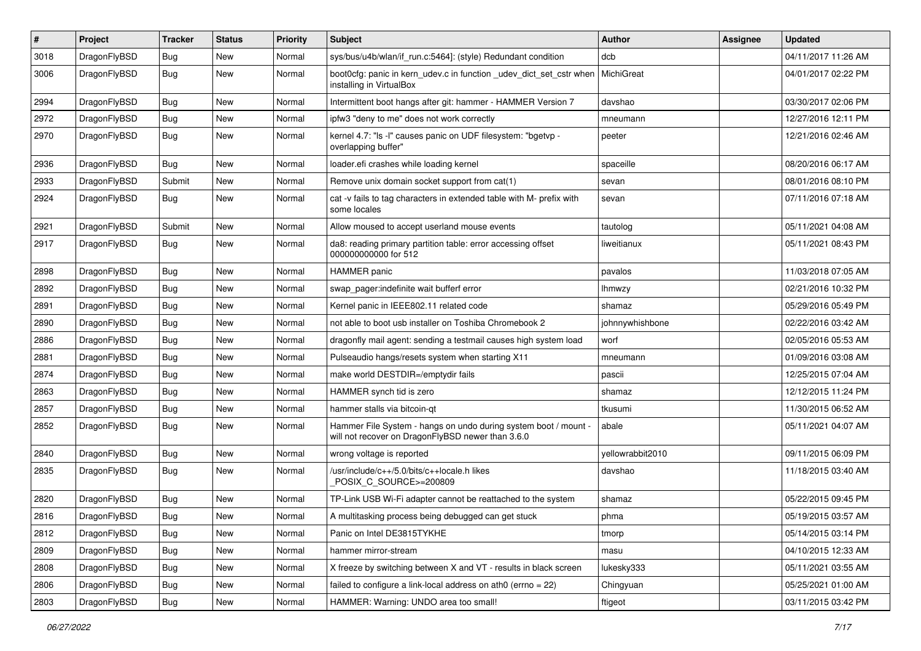| $\sharp$ | Project      | <b>Tracker</b> | <b>Status</b> | <b>Priority</b> | Subject                                                                                                              | <b>Author</b>    | Assignee | <b>Updated</b>      |
|----------|--------------|----------------|---------------|-----------------|----------------------------------------------------------------------------------------------------------------------|------------------|----------|---------------------|
| 3018     | DragonFlyBSD | Bug            | <b>New</b>    | Normal          | sys/bus/u4b/wlan/if_run.c:5464]: (style) Redundant condition                                                         | dcb              |          | 04/11/2017 11:26 AM |
| 3006     | DragonFlyBSD | Bug            | New           | Normal          | boot0cfg: panic in kern_udev.c in function _udev_dict_set_cstr when<br>installing in VirtualBox                      | MichiGreat       |          | 04/01/2017 02:22 PM |
| 2994     | DragonFlyBSD | Bug            | <b>New</b>    | Normal          | Intermittent boot hangs after git: hammer - HAMMER Version 7                                                         | davshao          |          | 03/30/2017 02:06 PM |
| 2972     | DragonFlyBSD | Bug            | <b>New</b>    | Normal          | ipfw3 "deny to me" does not work correctly                                                                           | mneumann         |          | 12/27/2016 12:11 PM |
| 2970     | DragonFlyBSD | <b>Bug</b>     | New           | Normal          | kernel 4.7: "Is -I" causes panic on UDF filesystem: "bgetvp -<br>overlapping buffer"                                 | peeter           |          | 12/21/2016 02:46 AM |
| 2936     | DragonFlyBSD | Bug            | <b>New</b>    | Normal          | loader.efi crashes while loading kernel                                                                              | spaceille        |          | 08/20/2016 06:17 AM |
| 2933     | DragonFlyBSD | Submit         | New           | Normal          | Remove unix domain socket support from cat(1)                                                                        | sevan            |          | 08/01/2016 08:10 PM |
| 2924     | DragonFlyBSD | Bug            | New           | Normal          | cat -v fails to tag characters in extended table with M- prefix with<br>some locales                                 | sevan            |          | 07/11/2016 07:18 AM |
| 2921     | DragonFlyBSD | Submit         | <b>New</b>    | Normal          | Allow moused to accept userland mouse events                                                                         | tautolog         |          | 05/11/2021 04:08 AM |
| 2917     | DragonFlyBSD | Bug            | <b>New</b>    | Normal          | da8: reading primary partition table: error accessing offset<br>000000000000 for 512                                 | liweitianux      |          | 05/11/2021 08:43 PM |
| 2898     | DragonFlyBSD | Bug            | <b>New</b>    | Normal          | <b>HAMMER</b> panic                                                                                                  | pavalos          |          | 11/03/2018 07:05 AM |
| 2892     | DragonFlyBSD | <b>Bug</b>     | <b>New</b>    | Normal          | swap_pager:indefinite wait bufferf error                                                                             | <b>Ihmwzy</b>    |          | 02/21/2016 10:32 PM |
| 2891     | DragonFlyBSD | <b>Bug</b>     | New           | Normal          | Kernel panic in IEEE802.11 related code                                                                              | shamaz           |          | 05/29/2016 05:49 PM |
| 2890     | DragonFlyBSD | Bug            | <b>New</b>    | Normal          | not able to boot usb installer on Toshiba Chromebook 2                                                               | johnnywhishbone  |          | 02/22/2016 03:42 AM |
| 2886     | DragonFlyBSD | <b>Bug</b>     | <b>New</b>    | Normal          | dragonfly mail agent: sending a testmail causes high system load                                                     | worf             |          | 02/05/2016 05:53 AM |
| 2881     | DragonFlyBSD | <b>Bug</b>     | New           | Normal          | Pulseaudio hangs/resets system when starting X11                                                                     | mneumann         |          | 01/09/2016 03:08 AM |
| 2874     | DragonFlyBSD | Bug            | <b>New</b>    | Normal          | make world DESTDIR=/emptydir fails                                                                                   | pascii           |          | 12/25/2015 07:04 AM |
| 2863     | DragonFlyBSD | <b>Bug</b>     | <b>New</b>    | Normal          | HAMMER synch tid is zero                                                                                             | shamaz           |          | 12/12/2015 11:24 PM |
| 2857     | DragonFlyBSD | Bug            | <b>New</b>    | Normal          | hammer stalls via bitcoin-qt                                                                                         | tkusumi          |          | 11/30/2015 06:52 AM |
| 2852     | DragonFlyBSD | Bug            | New           | Normal          | Hammer File System - hangs on undo during system boot / mount -<br>will not recover on DragonFlyBSD newer than 3.6.0 | abale            |          | 05/11/2021 04:07 AM |
| 2840     | DragonFlyBSD | Bug            | New           | Normal          | wrong voltage is reported                                                                                            | yellowrabbit2010 |          | 09/11/2015 06:09 PM |
| 2835     | DragonFlyBSD | <b>Bug</b>     | <b>New</b>    | Normal          | /usr/include/c++/5.0/bits/c++locale.h likes<br>POSIX_C_SOURCE>=200809                                                | davshao          |          | 11/18/2015 03:40 AM |
| 2820     | DragonFlyBSD | Bug            | <b>New</b>    | Normal          | TP-Link USB Wi-Fi adapter cannot be reattached to the system                                                         | shamaz           |          | 05/22/2015 09:45 PM |
| 2816     | DragonFlyBSD | Bug            | <b>New</b>    | Normal          | A multitasking process being debugged can get stuck                                                                  | phma             |          | 05/19/2015 03:57 AM |
| 2812     | DragonFlyBSD | Bug            | New           | Normal          | Panic on Intel DE3815TYKHE                                                                                           | tmorp            |          | 05/14/2015 03:14 PM |
| 2809     | DragonFlyBSD | Bug            | New           | Normal          | hammer mirror-stream                                                                                                 | masu             |          | 04/10/2015 12:33 AM |
| 2808     | DragonFlyBSD | <b>Bug</b>     | New           | Normal          | X freeze by switching between X and VT - results in black screen                                                     | lukesky333       |          | 05/11/2021 03:55 AM |
| 2806     | DragonFlyBSD | <b>Bug</b>     | New           | Normal          | failed to configure a link-local address on ath0 (errno = 22)                                                        | Chingyuan        |          | 05/25/2021 01:00 AM |
| 2803     | DragonFlyBSD | <b>Bug</b>     | New           | Normal          | HAMMER: Warning: UNDO area too small!                                                                                | ftigeot          |          | 03/11/2015 03:42 PM |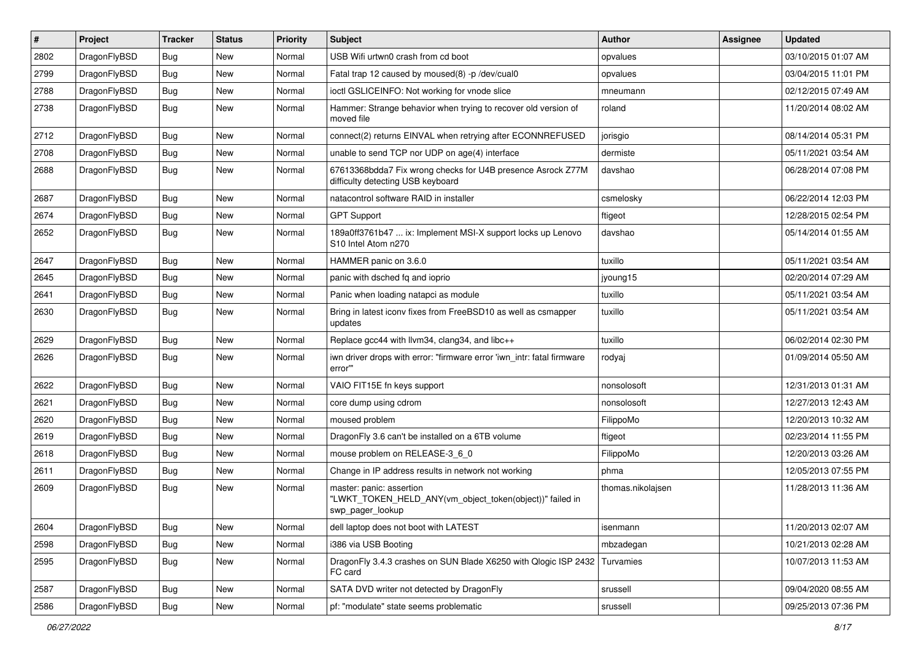| $\vert$ # | Project      | <b>Tracker</b> | <b>Status</b> | <b>Priority</b> | <b>Subject</b>                                                                                           | Author            | Assignee | <b>Updated</b>      |
|-----------|--------------|----------------|---------------|-----------------|----------------------------------------------------------------------------------------------------------|-------------------|----------|---------------------|
| 2802      | DragonFlyBSD | Bug            | <b>New</b>    | Normal          | USB Wifi urtwn0 crash from cd boot                                                                       | opvalues          |          | 03/10/2015 01:07 AM |
| 2799      | DragonFlyBSD | <b>Bug</b>     | <b>New</b>    | Normal          | Fatal trap 12 caused by moused(8) -p /dev/cual0                                                          | opvalues          |          | 03/04/2015 11:01 PM |
| 2788      | DragonFlyBSD | <b>Bug</b>     | <b>New</b>    | Normal          | ioctl GSLICEINFO: Not working for vnode slice                                                            | mneumann          |          | 02/12/2015 07:49 AM |
| 2738      | DragonFlyBSD | Bug            | New           | Normal          | Hammer: Strange behavior when trying to recover old version of<br>moved file                             | roland            |          | 11/20/2014 08:02 AM |
| 2712      | DragonFlyBSD | <b>Bug</b>     | New           | Normal          | connect(2) returns EINVAL when retrying after ECONNREFUSED                                               | jorisgio          |          | 08/14/2014 05:31 PM |
| 2708      | DragonFlyBSD | Bug            | <b>New</b>    | Normal          | unable to send TCP nor UDP on age(4) interface                                                           | dermiste          |          | 05/11/2021 03:54 AM |
| 2688      | DragonFlyBSD | Bug            | New           | Normal          | 67613368bdda7 Fix wrong checks for U4B presence Asrock Z77M<br>difficulty detecting USB keyboard         | davshao           |          | 06/28/2014 07:08 PM |
| 2687      | DragonFlyBSD | Bug            | New           | Normal          | natacontrol software RAID in installer                                                                   | csmelosky         |          | 06/22/2014 12:03 PM |
| 2674      | DragonFlyBSD | Bug            | <b>New</b>    | Normal          | <b>GPT Support</b>                                                                                       | ftigeot           |          | 12/28/2015 02:54 PM |
| 2652      | DragonFlyBSD | Bug            | New           | Normal          | 189a0ff3761b47  ix: Implement MSI-X support locks up Lenovo<br>S10 Intel Atom n270                       | davshao           |          | 05/14/2014 01:55 AM |
| 2647      | DragonFlyBSD | <b>Bug</b>     | <b>New</b>    | Normal          | HAMMER panic on 3.6.0                                                                                    | tuxillo           |          | 05/11/2021 03:54 AM |
| 2645      | DragonFlyBSD | Bug            | <b>New</b>    | Normal          | panic with dsched fq and ioprio                                                                          | jyoung15          |          | 02/20/2014 07:29 AM |
| 2641      | DragonFlyBSD | <b>Bug</b>     | <b>New</b>    | Normal          | Panic when loading natapci as module                                                                     | tuxillo           |          | 05/11/2021 03:54 AM |
| 2630      | DragonFlyBSD | Bug            | <b>New</b>    | Normal          | Bring in latest iconv fixes from FreeBSD10 as well as csmapper<br>updates                                | tuxillo           |          | 05/11/2021 03:54 AM |
| 2629      | DragonFlyBSD | Bug            | <b>New</b>    | Normal          | Replace gcc44 with llvm34, clang34, and libc++                                                           | tuxillo           |          | 06/02/2014 02:30 PM |
| 2626      | DragonFlyBSD | Bug            | New           | Normal          | iwn driver drops with error: "firmware error 'iwn_intr: fatal firmware<br>error"                         | rodyaj            |          | 01/09/2014 05:50 AM |
| 2622      | DragonFlyBSD | <b>Bug</b>     | <b>New</b>    | Normal          | VAIO FIT15E fn keys support                                                                              | nonsolosoft       |          | 12/31/2013 01:31 AM |
| 2621      | DragonFlyBSD | Bug            | <b>New</b>    | Normal          | core dump using cdrom                                                                                    | nonsolosoft       |          | 12/27/2013 12:43 AM |
| 2620      | DragonFlyBSD | Bug            | <b>New</b>    | Normal          | moused problem                                                                                           | FilippoMo         |          | 12/20/2013 10:32 AM |
| 2619      | DragonFlyBSD | Bug            | <b>New</b>    | Normal          | DragonFly 3.6 can't be installed on a 6TB volume                                                         | ftigeot           |          | 02/23/2014 11:55 PM |
| 2618      | DragonFlyBSD | <b>Bug</b>     | <b>New</b>    | Normal          | mouse problem on RELEASE-3 6 0                                                                           | FilippoMo         |          | 12/20/2013 03:26 AM |
| 2611      | DragonFlyBSD | Bug            | <b>New</b>    | Normal          | Change in IP address results in network not working                                                      | phma              |          | 12/05/2013 07:55 PM |
| 2609      | DragonFlyBSD | Bug            | New           | Normal          | master: panic: assertion<br>"LWKT TOKEN HELD ANY(vm object token(object))" failed in<br>swp_pager_lookup | thomas.nikolajsen |          | 11/28/2013 11:36 AM |
| 2604      | DragonFlyBSD | <b>Bug</b>     | New           | Normal          | dell laptop does not boot with LATEST                                                                    | isenmann          |          | 11/20/2013 02:07 AM |
| 2598      | DragonFlyBSD | <b>Bug</b>     | New           | Normal          | i386 via USB Booting                                                                                     | mbzadegan         |          | 10/21/2013 02:28 AM |
| 2595      | DragonFlyBSD | <b>Bug</b>     | New           | Normal          | DragonFly 3.4.3 crashes on SUN Blade X6250 with Qlogic ISP 2432<br>FC card                               | Turvamies         |          | 10/07/2013 11:53 AM |
| 2587      | DragonFlyBSD | <b>Bug</b>     | New           | Normal          | SATA DVD writer not detected by DragonFly                                                                | srussell          |          | 09/04/2020 08:55 AM |
| 2586      | DragonFlyBSD | <b>Bug</b>     | New           | Normal          | pf: "modulate" state seems problematic                                                                   | srussell          |          | 09/25/2013 07:36 PM |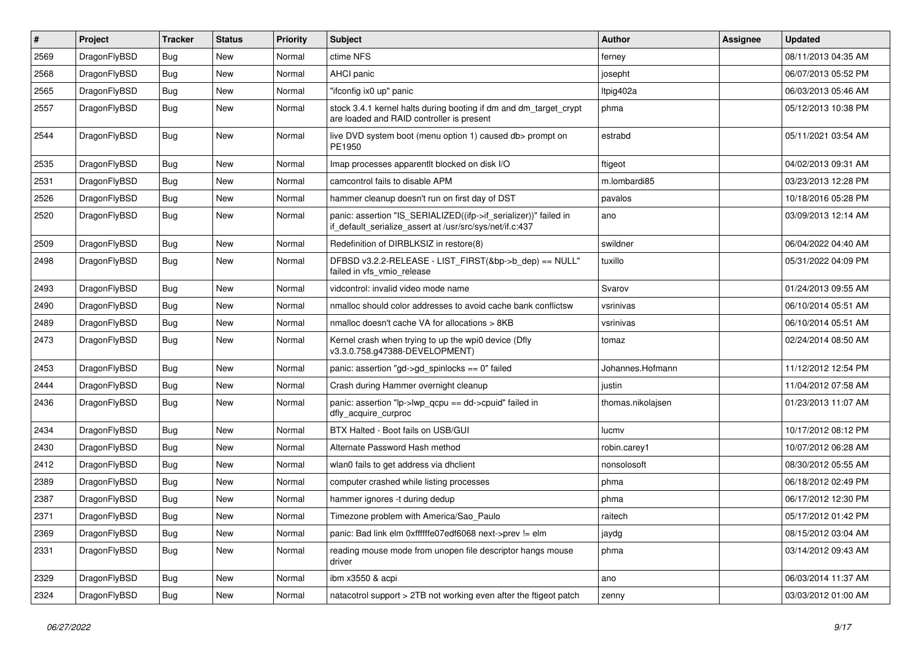| #    | Project      | <b>Tracker</b> | <b>Status</b> | <b>Priority</b> | Subject                                                                                                                      | <b>Author</b>     | <b>Assignee</b> | <b>Updated</b>      |
|------|--------------|----------------|---------------|-----------------|------------------------------------------------------------------------------------------------------------------------------|-------------------|-----------------|---------------------|
| 2569 | DragonFlyBSD | <b>Bug</b>     | <b>New</b>    | Normal          | ctime NFS                                                                                                                    | ferney            |                 | 08/11/2013 04:35 AM |
| 2568 | DragonFlyBSD | Bug            | New           | Normal          | <b>AHCI</b> panic                                                                                                            | josepht           |                 | 06/07/2013 05:52 PM |
| 2565 | DragonFlyBSD | <b>Bug</b>     | <b>New</b>    | Normal          | "ifconfig ix0 up" panic                                                                                                      | Itpig402a         |                 | 06/03/2013 05:46 AM |
| 2557 | DragonFlyBSD | Bug            | <b>New</b>    | Normal          | stock 3.4.1 kernel halts during booting if dm and dm_target_crypt<br>are loaded and RAID controller is present               | phma              |                 | 05/12/2013 10:38 PM |
| 2544 | DragonFlyBSD | <b>Bug</b>     | New           | Normal          | live DVD system boot (menu option 1) caused db> prompt on<br>PE1950                                                          | estrabd           |                 | 05/11/2021 03:54 AM |
| 2535 | DragonFlyBSD | <b>Bug</b>     | New           | Normal          | Imap processes apparentit blocked on disk I/O                                                                                | ftigeot           |                 | 04/02/2013 09:31 AM |
| 2531 | DragonFlyBSD | Bug            | <b>New</b>    | Normal          | camcontrol fails to disable APM                                                                                              | m.lombardi85      |                 | 03/23/2013 12:28 PM |
| 2526 | DragonFlyBSD | <b>Bug</b>     | <b>New</b>    | Normal          | hammer cleanup doesn't run on first day of DST                                                                               | pavalos           |                 | 10/18/2016 05:28 PM |
| 2520 | DragonFlyBSD | Bug            | <b>New</b>    | Normal          | panic: assertion "IS_SERIALIZED((ifp->if_serializer))" failed in<br>if_default_serialize_assert at /usr/src/sys/net/if.c:437 | ano               |                 | 03/09/2013 12:14 AM |
| 2509 | DragonFlyBSD | <b>Bug</b>     | <b>New</b>    | Normal          | Redefinition of DIRBLKSIZ in restore(8)                                                                                      | swildner          |                 | 06/04/2022 04:40 AM |
| 2498 | DragonFlyBSD | Bug            | New           | Normal          | DFBSD v3.2.2-RELEASE - LIST_FIRST(&bp->b_dep) == NULL"<br>failed in vfs_vmio_release                                         | tuxillo           |                 | 05/31/2022 04:09 PM |
| 2493 | DragonFlyBSD | <b>Bug</b>     | <b>New</b>    | Normal          | vidcontrol: invalid video mode name                                                                                          | Svarov            |                 | 01/24/2013 09:55 AM |
| 2490 | DragonFlyBSD | Bug            | <b>New</b>    | Normal          | nmalloc should color addresses to avoid cache bank conflictsw                                                                | vsrinivas         |                 | 06/10/2014 05:51 AM |
| 2489 | DragonFlyBSD | Bug            | New           | Normal          | nmalloc doesn't cache VA for allocations > 8KB                                                                               | vsrinivas         |                 | 06/10/2014 05:51 AM |
| 2473 | DragonFlyBSD | Bug            | <b>New</b>    | Normal          | Kernel crash when trying to up the wpi0 device (Dfly<br>v3.3.0.758.g47388-DEVELOPMENT)                                       | tomaz             |                 | 02/24/2014 08:50 AM |
| 2453 | DragonFlyBSD | <b>Bug</b>     | <b>New</b>    | Normal          | panic: assertion "gd->gd_spinlocks == 0" failed                                                                              | Johannes.Hofmann  |                 | 11/12/2012 12:54 PM |
| 2444 | DragonFlyBSD | <b>Bug</b>     | <b>New</b>    | Normal          | Crash during Hammer overnight cleanup                                                                                        | justin            |                 | 11/04/2012 07:58 AM |
| 2436 | DragonFlyBSD | Bug            | <b>New</b>    | Normal          | panic: assertion "lp->lwp_qcpu == dd->cpuid" failed in<br>dfly acquire curproc                                               | thomas.nikolajsen |                 | 01/23/2013 11:07 AM |
| 2434 | DragonFlyBSD | Bug            | <b>New</b>    | Normal          | BTX Halted - Boot fails on USB/GUI                                                                                           | lucmv             |                 | 10/17/2012 08:12 PM |
| 2430 | DragonFlyBSD | Bug            | <b>New</b>    | Normal          | Alternate Password Hash method                                                                                               | robin.carey1      |                 | 10/07/2012 06:28 AM |
| 2412 | DragonFlyBSD | Bug            | <b>New</b>    | Normal          | wlan0 fails to get address via dhclient                                                                                      | nonsolosoft       |                 | 08/30/2012 05:55 AM |
| 2389 | DragonFlyBSD | Bug            | <b>New</b>    | Normal          | computer crashed while listing processes                                                                                     | phma              |                 | 06/18/2012 02:49 PM |
| 2387 | DragonFlyBSD | <b>Bug</b>     | <b>New</b>    | Normal          | hammer ignores -t during dedup                                                                                               | phma              |                 | 06/17/2012 12:30 PM |
| 2371 | DragonFlyBSD | Bug            | New           | Normal          | Timezone problem with America/Sao Paulo                                                                                      | raitech           |                 | 05/17/2012 01:42 PM |
| 2369 | DragonFlyBSD | <b>Bug</b>     | New           | Normal          | panic: Bad link elm 0xffffffe07edf6068 next->prev != elm                                                                     | jaydg             |                 | 08/15/2012 03:04 AM |
| 2331 | DragonFlyBSD | <b>Bug</b>     | New           | Normal          | reading mouse mode from unopen file descriptor hangs mouse<br>driver                                                         | phma              |                 | 03/14/2012 09:43 AM |
| 2329 | DragonFlyBSD | <b>Bug</b>     | New           | Normal          | ibm x3550 & acpi                                                                                                             | ano               |                 | 06/03/2014 11:37 AM |
| 2324 | DragonFlyBSD | Bug            | New           | Normal          | natacotrol support > 2TB not working even after the ftigeot patch                                                            | zenny             |                 | 03/03/2012 01:00 AM |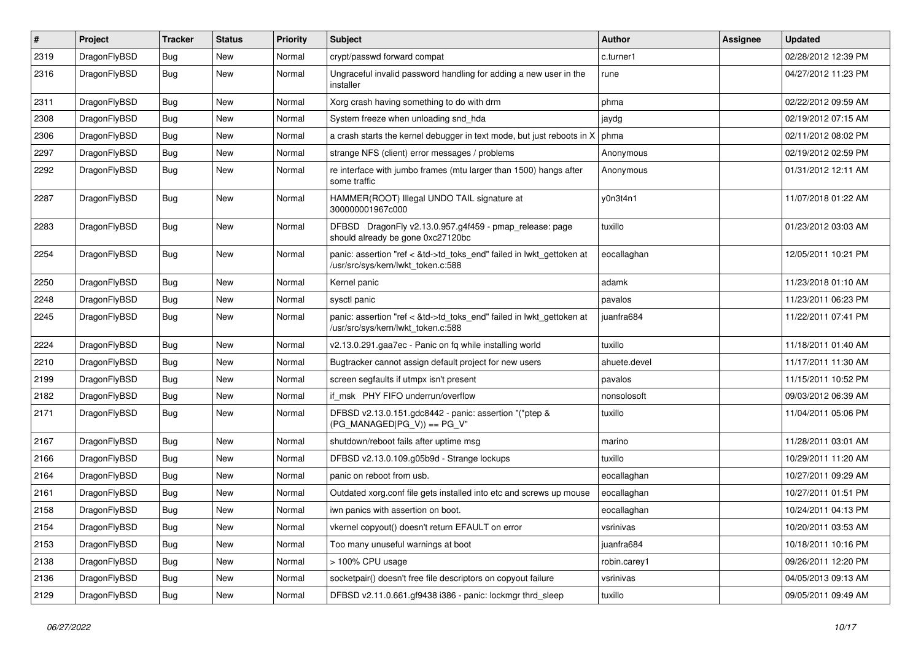| $\sharp$ | Project      | <b>Tracker</b> | <b>Status</b> | <b>Priority</b> | Subject                                                                                                    | <b>Author</b> | Assignee | <b>Updated</b>      |
|----------|--------------|----------------|---------------|-----------------|------------------------------------------------------------------------------------------------------------|---------------|----------|---------------------|
| 2319     | DragonFlyBSD | Bug            | <b>New</b>    | Normal          | crypt/passwd forward compat                                                                                | c.turner1     |          | 02/28/2012 12:39 PM |
| 2316     | DragonFlyBSD | <b>Bug</b>     | New           | Normal          | Ungraceful invalid password handling for adding a new user in the<br>installer                             | rune          |          | 04/27/2012 11:23 PM |
| 2311     | DragonFlyBSD | Bug            | <b>New</b>    | Normal          | Xorg crash having something to do with drm                                                                 | phma          |          | 02/22/2012 09:59 AM |
| 2308     | DragonFlyBSD | Bug            | <b>New</b>    | Normal          | System freeze when unloading snd_hda                                                                       | jaydg         |          | 02/19/2012 07:15 AM |
| 2306     | DragonFlyBSD | <b>Bug</b>     | <b>New</b>    | Normal          | a crash starts the kernel debugger in text mode, but just reboots in X                                     | phma          |          | 02/11/2012 08:02 PM |
| 2297     | DragonFlyBSD | <b>Bug</b>     | <b>New</b>    | Normal          | strange NFS (client) error messages / problems                                                             | Anonymous     |          | 02/19/2012 02:59 PM |
| 2292     | DragonFlyBSD | Bug            | New           | Normal          | re interface with jumbo frames (mtu larger than 1500) hangs after<br>some traffic                          | Anonymous     |          | 01/31/2012 12:11 AM |
| 2287     | DragonFlyBSD | <b>Bug</b>     | New           | Normal          | HAMMER(ROOT) Illegal UNDO TAIL signature at<br>300000001967c000                                            | y0n3t4n1      |          | 11/07/2018 01:22 AM |
| 2283     | DragonFlyBSD | <b>Bug</b>     | New           | Normal          | DFBSD DragonFly v2.13.0.957.g4f459 - pmap_release: page<br>should already be gone 0xc27120bc               | tuxillo       |          | 01/23/2012 03:03 AM |
| 2254     | DragonFlyBSD | Bug            | <b>New</b>    | Normal          | panic: assertion "ref < &td->td_toks_end" failed in lwkt_gettoken at<br>/usr/src/sys/kern/lwkt_token.c:588 | eocallaghan   |          | 12/05/2011 10:21 PM |
| 2250     | DragonFlyBSD | Bug            | <b>New</b>    | Normal          | Kernel panic                                                                                               | adamk         |          | 11/23/2018 01:10 AM |
| 2248     | DragonFlyBSD | <b>Bug</b>     | New           | Normal          | sysctl panic                                                                                               | pavalos       |          | 11/23/2011 06:23 PM |
| 2245     | DragonFlyBSD | Bug            | <b>New</b>    | Normal          | panic: assertion "ref < &td->td_toks_end" failed in lwkt_gettoken at<br>/usr/src/sys/kern/lwkt_token.c:588 | juanfra684    |          | 11/22/2011 07:41 PM |
| 2224     | DragonFlyBSD | Bug            | <b>New</b>    | Normal          | v2.13.0.291.gaa7ec - Panic on fq while installing world                                                    | tuxillo       |          | 11/18/2011 01:40 AM |
| 2210     | DragonFlyBSD | Bug            | <b>New</b>    | Normal          | Bugtracker cannot assign default project for new users                                                     | ahuete.devel  |          | 11/17/2011 11:30 AM |
| 2199     | DragonFlyBSD | <b>Bug</b>     | New           | Normal          | screen segfaults if utmpx isn't present                                                                    | pavalos       |          | 11/15/2011 10:52 PM |
| 2182     | DragonFlyBSD | Bug            | New           | Normal          | if_msk PHY FIFO underrun/overflow                                                                          | nonsolosoft   |          | 09/03/2012 06:39 AM |
| 2171     | DragonFlyBSD | Bug            | New           | Normal          | DFBSD v2.13.0.151.gdc8442 - panic: assertion "(*ptep &<br>$(PG_MANAGED PG_V)$ == PG_V"                     | tuxillo       |          | 11/04/2011 05:06 PM |
| 2167     | DragonFlyBSD | Bug            | <b>New</b>    | Normal          | shutdown/reboot fails after uptime msg                                                                     | marino        |          | 11/28/2011 03:01 AM |
| 2166     | DragonFlyBSD | <b>Bug</b>     | <b>New</b>    | Normal          | DFBSD v2.13.0.109.g05b9d - Strange lockups                                                                 | tuxillo       |          | 10/29/2011 11:20 AM |
| 2164     | DragonFlyBSD | <b>Bug</b>     | <b>New</b>    | Normal          | panic on reboot from usb.                                                                                  | eocallaghan   |          | 10/27/2011 09:29 AM |
| 2161     | DragonFlyBSD | Bug            | <b>New</b>    | Normal          | Outdated xorg.conf file gets installed into etc and screws up mouse                                        | eocallaghan   |          | 10/27/2011 01:51 PM |
| 2158     | DragonFlyBSD | Bug            | New           | Normal          | iwn panics with assertion on boot.                                                                         | eocallaghan   |          | 10/24/2011 04:13 PM |
| 2154     | DragonFlyBSD | <b>Bug</b>     | New           | Normal          | vkernel copyout() doesn't return EFAULT on error                                                           | vsrinivas     |          | 10/20/2011 03:53 AM |
| 2153     | DragonFlyBSD | <b>Bug</b>     | New           | Normal          | Too many unuseful warnings at boot                                                                         | juanfra684    |          | 10/18/2011 10:16 PM |
| 2138     | DragonFlyBSD | Bug            | New           | Normal          | > 100% CPU usage                                                                                           | robin.carey1  |          | 09/26/2011 12:20 PM |
| 2136     | DragonFlyBSD | <b>Bug</b>     | New           | Normal          | socketpair() doesn't free file descriptors on copyout failure                                              | vsrinivas     |          | 04/05/2013 09:13 AM |
| 2129     | DragonFlyBSD | <b>Bug</b>     | New           | Normal          | DFBSD v2.11.0.661.gf9438 i386 - panic: lockmgr thrd_sleep                                                  | tuxillo       |          | 09/05/2011 09:49 AM |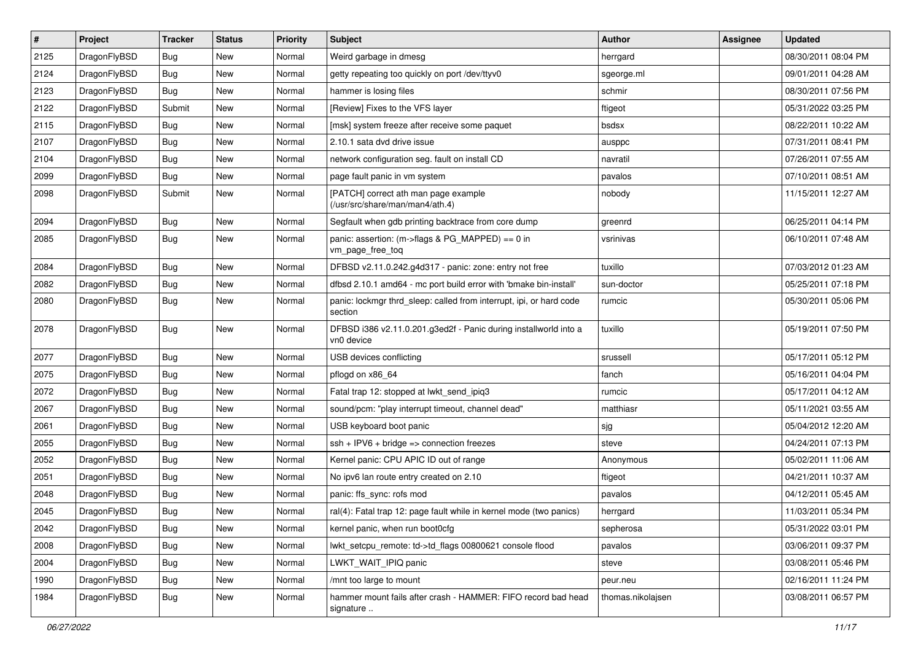| $\sharp$ | Project      | <b>Tracker</b> | <b>Status</b> | <b>Priority</b> | Subject                                                                        | Author            | <b>Assignee</b> | <b>Updated</b>      |
|----------|--------------|----------------|---------------|-----------------|--------------------------------------------------------------------------------|-------------------|-----------------|---------------------|
| 2125     | DragonFlyBSD | <b>Bug</b>     | New           | Normal          | Weird garbage in dmesg                                                         | herrgard          |                 | 08/30/2011 08:04 PM |
| 2124     | DragonFlyBSD | <b>Bug</b>     | <b>New</b>    | Normal          | getty repeating too quickly on port /dev/ttyv0                                 | sgeorge.ml        |                 | 09/01/2011 04:28 AM |
| 2123     | DragonFlyBSD | <b>Bug</b>     | <b>New</b>    | Normal          | hammer is losing files                                                         | schmir            |                 | 08/30/2011 07:56 PM |
| 2122     | DragonFlyBSD | Submit         | New           | Normal          | [Review] Fixes to the VFS layer                                                | ftigeot           |                 | 05/31/2022 03:25 PM |
| 2115     | DragonFlyBSD | <b>Bug</b>     | New           | Normal          | [msk] system freeze after receive some paquet                                  | bsdsx             |                 | 08/22/2011 10:22 AM |
| 2107     | DragonFlyBSD | <b>Bug</b>     | New           | Normal          | 2.10.1 sata dvd drive issue                                                    | ausppc            |                 | 07/31/2011 08:41 PM |
| 2104     | DragonFlyBSD | <b>Bug</b>     | New           | Normal          | network configuration seg. fault on install CD                                 | navratil          |                 | 07/26/2011 07:55 AM |
| 2099     | DragonFlyBSD | <b>Bug</b>     | <b>New</b>    | Normal          | page fault panic in vm system                                                  | pavalos           |                 | 07/10/2011 08:51 AM |
| 2098     | DragonFlyBSD | Submit         | <b>New</b>    | Normal          | [PATCH] correct ath man page example<br>(/usr/src/share/man/man4/ath.4)        | nobody            |                 | 11/15/2011 12:27 AM |
| 2094     | DragonFlyBSD | Bug            | <b>New</b>    | Normal          | Segfault when gdb printing backtrace from core dump                            | greenrd           |                 | 06/25/2011 04:14 PM |
| 2085     | DragonFlyBSD | <b>Bug</b>     | New           | Normal          | panic: assertion: (m->flags & PG_MAPPED) == 0 in<br>vm page free tog           | vsrinivas         |                 | 06/10/2011 07:48 AM |
| 2084     | DragonFlyBSD | <b>Bug</b>     | New           | Normal          | DFBSD v2.11.0.242.g4d317 - panic: zone: entry not free                         | tuxillo           |                 | 07/03/2012 01:23 AM |
| 2082     | DragonFlyBSD | <b>Bug</b>     | <b>New</b>    | Normal          | dfbsd 2.10.1 amd64 - mc port build error with 'bmake bin-install'              | sun-doctor        |                 | 05/25/2011 07:18 PM |
| 2080     | DragonFlyBSD | <b>Bug</b>     | New           | Normal          | panic: lockmgr thrd_sleep: called from interrupt, ipi, or hard code<br>section | rumcic            |                 | 05/30/2011 05:06 PM |
| 2078     | DragonFlyBSD | Bug            | New           | Normal          | DFBSD i386 v2.11.0.201.g3ed2f - Panic during installworld into a<br>vn0 device | tuxillo           |                 | 05/19/2011 07:50 PM |
| 2077     | DragonFlyBSD | <b>Bug</b>     | <b>New</b>    | Normal          | USB devices conflicting                                                        | srussell          |                 | 05/17/2011 05:12 PM |
| 2075     | DragonFlyBSD | <b>Bug</b>     | <b>New</b>    | Normal          | pflogd on x86_64                                                               | fanch             |                 | 05/16/2011 04:04 PM |
| 2072     | DragonFlyBSD | Bug            | New           | Normal          | Fatal trap 12: stopped at lwkt send ipig3                                      | rumcic            |                 | 05/17/2011 04:12 AM |
| 2067     | DragonFlyBSD | <b>Bug</b>     | New           | Normal          | sound/pcm: "play interrupt timeout, channel dead"                              | matthiasr         |                 | 05/11/2021 03:55 AM |
| 2061     | DragonFlyBSD | <b>Bug</b>     | New           | Normal          | USB keyboard boot panic                                                        | sjg               |                 | 05/04/2012 12:20 AM |
| 2055     | DragonFlyBSD | Bug            | <b>New</b>    | Normal          | $ssh + IPV6 + bridge \Rightarrow$ connection freezes                           | steve             |                 | 04/24/2011 07:13 PM |
| 2052     | DragonFlyBSD | Bug            | New           | Normal          | Kernel panic: CPU APIC ID out of range                                         | Anonymous         |                 | 05/02/2011 11:06 AM |
| 2051     | DragonFlyBSD | <b>Bug</b>     | New           | Normal          | No ipv6 lan route entry created on 2.10                                        | ftigeot           |                 | 04/21/2011 10:37 AM |
| 2048     | DragonFlyBSD | Bug            | <b>New</b>    | Normal          | panic: ffs_sync: rofs mod                                                      | pavalos           |                 | 04/12/2011 05:45 AM |
| 2045     | DragonFlyBSD | Bug            | New           | Normal          | ral(4): Fatal trap 12: page fault while in kernel mode (two panics)            | herrgard          |                 | 11/03/2011 05:34 PM |
| 2042     | DragonFlyBSD | <b>Bug</b>     | New           | Normal          | kernel panic, when run boot0cfg                                                | sepherosa         |                 | 05/31/2022 03:01 PM |
| 2008     | DragonFlyBSD | <b>Bug</b>     | New           | Normal          | lwkt_setcpu_remote: td->td_flags 00800621 console flood                        | pavalos           |                 | 03/06/2011 09:37 PM |
| 2004     | DragonFlyBSD | <b>Bug</b>     | New           | Normal          | LWKT_WAIT_IPIQ panic                                                           | steve             |                 | 03/08/2011 05:46 PM |
| 1990     | DragonFlyBSD | <b>Bug</b>     | <b>New</b>    | Normal          | /mnt too large to mount                                                        | peur.neu          |                 | 02/16/2011 11:24 PM |
| 1984     | DragonFlyBSD | <b>Bug</b>     | New           | Normal          | hammer mount fails after crash - HAMMER: FIFO record bad head<br>signature     | thomas.nikolajsen |                 | 03/08/2011 06:57 PM |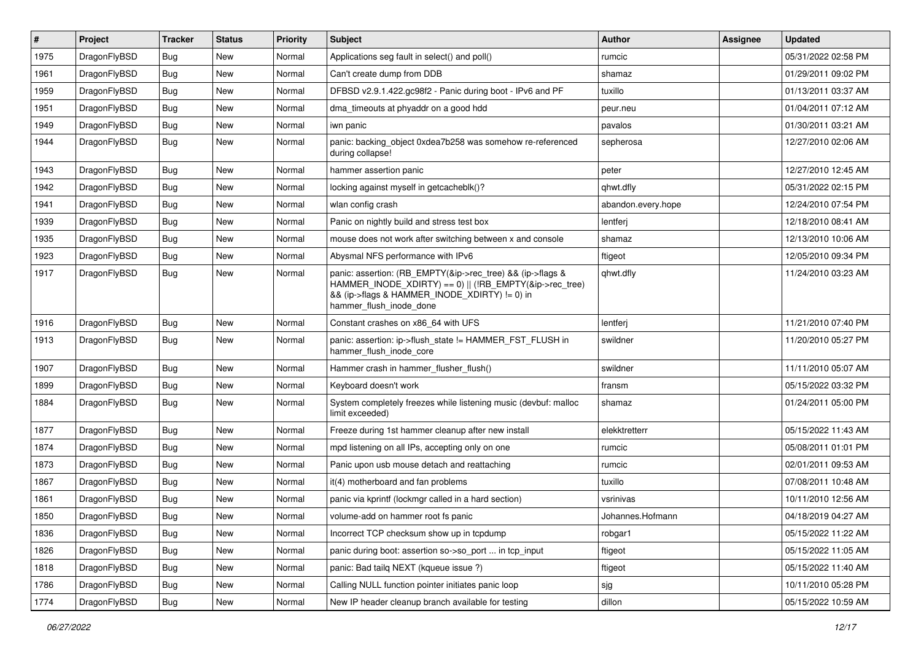| $\#$ | Project      | <b>Tracker</b> | <b>Status</b> | <b>Priority</b> | <b>Subject</b>                                                                                                                                                                                    | <b>Author</b>      | Assignee | <b>Updated</b>      |
|------|--------------|----------------|---------------|-----------------|---------------------------------------------------------------------------------------------------------------------------------------------------------------------------------------------------|--------------------|----------|---------------------|
| 1975 | DragonFlyBSD | <b>Bug</b>     | <b>New</b>    | Normal          | Applications seg fault in select() and poll()                                                                                                                                                     | rumcic             |          | 05/31/2022 02:58 PM |
| 1961 | DragonFlyBSD | <b>Bug</b>     | <b>New</b>    | Normal          | Can't create dump from DDB                                                                                                                                                                        | shamaz             |          | 01/29/2011 09:02 PM |
| 1959 | DragonFlyBSD | Bug            | New           | Normal          | DFBSD v2.9.1.422.gc98f2 - Panic during boot - IPv6 and PF                                                                                                                                         | tuxillo            |          | 01/13/2011 03:37 AM |
| 1951 | DragonFlyBSD | Bug            | New           | Normal          | dma timeouts at phyaddr on a good hdd                                                                                                                                                             | peur.neu           |          | 01/04/2011 07:12 AM |
| 1949 | DragonFlyBSD | <b>Bug</b>     | New           | Normal          | iwn panic                                                                                                                                                                                         | pavalos            |          | 01/30/2011 03:21 AM |
| 1944 | DragonFlyBSD | Bug            | New           | Normal          | panic: backing object 0xdea7b258 was somehow re-referenced<br>during collapse!                                                                                                                    | sepherosa          |          | 12/27/2010 02:06 AM |
| 1943 | DragonFlyBSD | <b>Bug</b>     | New           | Normal          | hammer assertion panic                                                                                                                                                                            | peter              |          | 12/27/2010 12:45 AM |
| 1942 | DragonFlyBSD | Bug            | New           | Normal          | locking against myself in getcacheblk()?                                                                                                                                                          | qhwt.dfly          |          | 05/31/2022 02:15 PM |
| 1941 | DragonFlyBSD | <b>Bug</b>     | <b>New</b>    | Normal          | wlan config crash                                                                                                                                                                                 | abandon.every.hope |          | 12/24/2010 07:54 PM |
| 1939 | DragonFlyBSD | <b>Bug</b>     | New           | Normal          | Panic on nightly build and stress test box                                                                                                                                                        | lentferj           |          | 12/18/2010 08:41 AM |
| 1935 | DragonFlyBSD | Bug            | New           | Normal          | mouse does not work after switching between x and console                                                                                                                                         | shamaz             |          | 12/13/2010 10:06 AM |
| 1923 | DragonFlyBSD | Bug            | New           | Normal          | Abysmal NFS performance with IPv6                                                                                                                                                                 | ftigeot            |          | 12/05/2010 09:34 PM |
| 1917 | DragonFlyBSD | Bug            | New           | Normal          | panic: assertion: (RB_EMPTY(&ip->rec_tree) && (ip->flags &<br>HAMMER_INODE_XDIRTY) == 0)    (!RB_EMPTY(&ip->rec_tree)<br>&& (ip->flags & HAMMER_INODE_XDIRTY) != 0) in<br>hammer_flush_inode_done | qhwt.dfly          |          | 11/24/2010 03:23 AM |
| 1916 | DragonFlyBSD | <b>Bug</b>     | New           | Normal          | Constant crashes on x86 64 with UFS                                                                                                                                                               | lentferj           |          | 11/21/2010 07:40 PM |
| 1913 | DragonFlyBSD | <b>Bug</b>     | New           | Normal          | panic: assertion: ip->flush_state != HAMMER_FST_FLUSH in<br>hammer_flush_inode_core                                                                                                               | swildner           |          | 11/20/2010 05:27 PM |
| 1907 | DragonFlyBSD | Bug            | <b>New</b>    | Normal          | Hammer crash in hammer_flusher_flush()                                                                                                                                                            | swildner           |          | 11/11/2010 05:07 AM |
| 1899 | DragonFlyBSD | <b>Bug</b>     | New           | Normal          | Keyboard doesn't work                                                                                                                                                                             | fransm             |          | 05/15/2022 03:32 PM |
| 1884 | DragonFlyBSD | Bug            | New           | Normal          | System completely freezes while listening music (devbuf: malloc<br>limit exceeded)                                                                                                                | shamaz             |          | 01/24/2011 05:00 PM |
| 1877 | DragonFlyBSD | <b>Bug</b>     | <b>New</b>    | Normal          | Freeze during 1st hammer cleanup after new install                                                                                                                                                | elekktretterr      |          | 05/15/2022 11:43 AM |
| 1874 | DragonFlyBSD | <b>Bug</b>     | New           | Normal          | mpd listening on all IPs, accepting only on one                                                                                                                                                   | rumcic             |          | 05/08/2011 01:01 PM |
| 1873 | DragonFlyBSD | Bug            | New           | Normal          | Panic upon usb mouse detach and reattaching                                                                                                                                                       | rumcic             |          | 02/01/2011 09:53 AM |
| 1867 | DragonFlyBSD | Bug            | New           | Normal          | it(4) motherboard and fan problems                                                                                                                                                                | tuxillo            |          | 07/08/2011 10:48 AM |
| 1861 | DragonFlyBSD | <b>Bug</b>     | New           | Normal          | panic via kprintf (lockmgr called in a hard section)                                                                                                                                              | vsrinivas          |          | 10/11/2010 12:56 AM |
| 1850 | DragonFlyBSD | Bug            | New           | Normal          | volume-add on hammer root fs panic                                                                                                                                                                | Johannes.Hofmann   |          | 04/18/2019 04:27 AM |
| 1836 | DragonFlyBSD | Bug            | New           | Normal          | Incorrect TCP checksum show up in tcpdump                                                                                                                                                         | robgar1            |          | 05/15/2022 11:22 AM |
| 1826 | DragonFlyBSD | <b>Bug</b>     | New           | Normal          | panic during boot: assertion so->so_port  in tcp_input                                                                                                                                            | ftigeot            |          | 05/15/2022 11:05 AM |
| 1818 | DragonFlyBSD | <b>Bug</b>     | New           | Normal          | panic: Bad tailq NEXT (kqueue issue ?)                                                                                                                                                            | ftigeot            |          | 05/15/2022 11:40 AM |
| 1786 | DragonFlyBSD | <b>Bug</b>     | New           | Normal          | Calling NULL function pointer initiates panic loop                                                                                                                                                | sjg                |          | 10/11/2010 05:28 PM |
| 1774 | DragonFlyBSD | Bug            | New           | Normal          | New IP header cleanup branch available for testing                                                                                                                                                | dillon             |          | 05/15/2022 10:59 AM |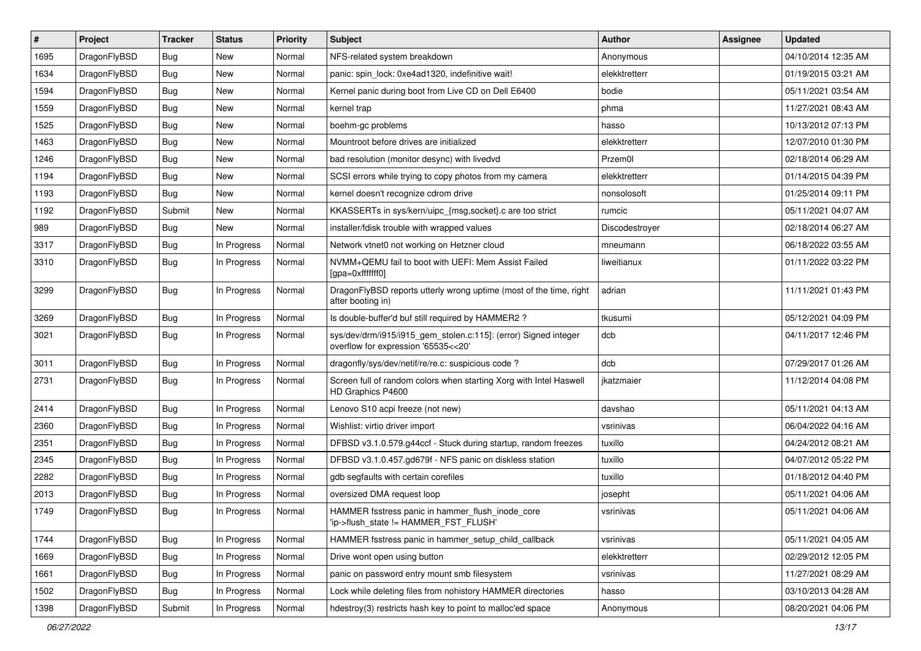| $\pmb{\#}$ | Project      | <b>Tracker</b> | <b>Status</b> | <b>Priority</b> | Subject                                                                                                | <b>Author</b>  | Assignee | <b>Updated</b>      |
|------------|--------------|----------------|---------------|-----------------|--------------------------------------------------------------------------------------------------------|----------------|----------|---------------------|
| 1695       | DragonFlyBSD | Bug            | New           | Normal          | NFS-related system breakdown                                                                           | Anonymous      |          | 04/10/2014 12:35 AM |
| 1634       | DragonFlyBSD | Bug            | <b>New</b>    | Normal          | panic: spin_lock: 0xe4ad1320, indefinitive wait!                                                       | elekktretterr  |          | 01/19/2015 03:21 AM |
| 1594       | DragonFlyBSD | Bug            | New           | Normal          | Kernel panic during boot from Live CD on Dell E6400                                                    | bodie          |          | 05/11/2021 03:54 AM |
| 1559       | DragonFlyBSD | Bug            | New           | Normal          | kernel trap                                                                                            | phma           |          | 11/27/2021 08:43 AM |
| 1525       | DragonFlyBSD | <b>Bug</b>     | <b>New</b>    | Normal          | boehm-gc problems                                                                                      | hasso          |          | 10/13/2012 07:13 PM |
| 1463       | DragonFlyBSD | Bug            | <b>New</b>    | Normal          | Mountroot before drives are initialized                                                                | elekktretterr  |          | 12/07/2010 01:30 PM |
| 1246       | DragonFlyBSD | Bug            | New           | Normal          | bad resolution (monitor desync) with livedvd                                                           | Przem0l        |          | 02/18/2014 06:29 AM |
| 1194       | DragonFlyBSD | Bug            | <b>New</b>    | Normal          | SCSI errors while trying to copy photos from my camera                                                 | elekktretterr  |          | 01/14/2015 04:39 PM |
| 1193       | DragonFlyBSD | Bug            | New           | Normal          | kernel doesn't recognize cdrom drive                                                                   | nonsolosoft    |          | 01/25/2014 09:11 PM |
| 1192       | DragonFlyBSD | Submit         | New           | Normal          | KKASSERTs in sys/kern/uipc_{msg,socket}.c are too strict                                               | rumcic         |          | 05/11/2021 04:07 AM |
| 989        | DragonFlyBSD | <b>Bug</b>     | New           | Normal          | installer/fdisk trouble with wrapped values                                                            | Discodestroyer |          | 02/18/2014 06:27 AM |
| 3317       | DragonFlyBSD | Bug            | In Progress   | Normal          | Network vtnet0 not working on Hetzner cloud                                                            | mneumann       |          | 06/18/2022 03:55 AM |
| 3310       | DragonFlyBSD | Bug            | In Progress   | Normal          | NVMM+QEMU fail to boot with UEFI: Mem Assist Failed<br>[gpa=0xfffffff0]                                | liweitianux    |          | 01/11/2022 03:22 PM |
| 3299       | DragonFlyBSD | Bug            | In Progress   | Normal          | DragonFlyBSD reports utterly wrong uptime (most of the time, right<br>after booting in)                | adrian         |          | 11/11/2021 01:43 PM |
| 3269       | DragonFlyBSD | <b>Bug</b>     | In Progress   | Normal          | Is double-buffer'd buf still required by HAMMER2 ?                                                     | tkusumi        |          | 05/12/2021 04:09 PM |
| 3021       | DragonFlyBSD | Bug            | In Progress   | Normal          | sys/dev/drm/i915/i915_gem_stolen.c:115]: (error) Signed integer<br>overflow for expression '65535<<20' | dcb            |          | 04/11/2017 12:46 PM |
| 3011       | DragonFlyBSD | <b>Bug</b>     | In Progress   | Normal          | dragonfly/sys/dev/netif/re/re.c: suspicious code ?                                                     | dcb            |          | 07/29/2017 01:26 AM |
| 2731       | DragonFlyBSD | Bug            | In Progress   | Normal          | Screen full of random colors when starting Xorg with Intel Haswell<br>HD Graphics P4600                | jkatzmaier     |          | 11/12/2014 04:08 PM |
| 2414       | DragonFlyBSD | <b>Bug</b>     | In Progress   | Normal          | Lenovo S10 acpi freeze (not new)                                                                       | davshao        |          | 05/11/2021 04:13 AM |
| 2360       | DragonFlyBSD | Bug            | In Progress   | Normal          | Wishlist: virtio driver import                                                                         | vsrinivas      |          | 06/04/2022 04:16 AM |
| 2351       | DragonFlyBSD | Bug            | In Progress   | Normal          | DFBSD v3.1.0.579.g44ccf - Stuck during startup, random freezes                                         | tuxillo        |          | 04/24/2012 08:21 AM |
| 2345       | DragonFlyBSD | Bug            | In Progress   | Normal          | DFBSD v3.1.0.457.gd679f - NFS panic on diskless station                                                | tuxillo        |          | 04/07/2012 05:22 PM |
| 2282       | DragonFlyBSD | Bug            | In Progress   | Normal          | gdb segfaults with certain corefiles                                                                   | tuxillo        |          | 01/18/2012 04:40 PM |
| 2013       | DragonFlyBSD | Bug            | In Progress   | Normal          | oversized DMA request loop                                                                             | josepht        |          | 05/11/2021 04:06 AM |
| 1749       | DragonFlyBSD | <b>Bug</b>     | In Progress   | Normal          | HAMMER fsstress panic in hammer flush inode core<br>ip->flush_state != HAMMER_FST_FLUSH'               | vsrinivas      |          | 05/11/2021 04:06 AM |
| 1744       | DragonFlyBSD | <b>Bug</b>     | In Progress   | Normal          | HAMMER fsstress panic in hammer_setup_child_callback                                                   | vsrinivas      |          | 05/11/2021 04:05 AM |
| 1669       | DragonFlyBSD | <b>Bug</b>     | In Progress   | Normal          | Drive wont open using button                                                                           | elekktretterr  |          | 02/29/2012 12:05 PM |
| 1661       | DragonFlyBSD | <b>Bug</b>     | In Progress   | Normal          | panic on password entry mount smb filesystem                                                           | vsrinivas      |          | 11/27/2021 08:29 AM |
| 1502       | DragonFlyBSD | <b>Bug</b>     | In Progress   | Normal          | Lock while deleting files from nohistory HAMMER directories                                            | hasso          |          | 03/10/2013 04:28 AM |
| 1398       | DragonFlyBSD | Submit         | In Progress   | Normal          | hdestroy(3) restricts hash key to point to malloc'ed space                                             | Anonymous      |          | 08/20/2021 04:06 PM |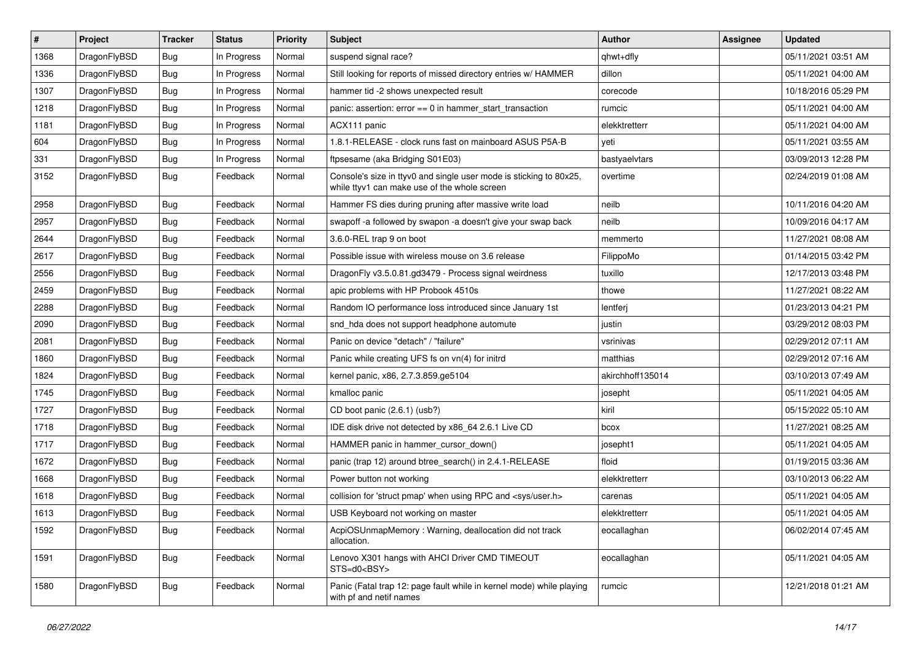| $\sharp$ | Project      | <b>Tracker</b> | <b>Status</b> | <b>Priority</b> | Subject                                                                                                            | <b>Author</b>    | Assignee | <b>Updated</b>      |
|----------|--------------|----------------|---------------|-----------------|--------------------------------------------------------------------------------------------------------------------|------------------|----------|---------------------|
| 1368     | DragonFlyBSD | <b>Bug</b>     | In Progress   | Normal          | suspend signal race?                                                                                               | qhwt+dfly        |          | 05/11/2021 03:51 AM |
| 1336     | DragonFlyBSD | <b>Bug</b>     | In Progress   | Normal          | Still looking for reports of missed directory entries w/ HAMMER                                                    | dillon           |          | 05/11/2021 04:00 AM |
| 1307     | DragonFlyBSD | <b>Bug</b>     | In Progress   | Normal          | hammer tid -2 shows unexpected result                                                                              | corecode         |          | 10/18/2016 05:29 PM |
| 1218     | DragonFlyBSD | <b>Bug</b>     | In Progress   | Normal          | panic: assertion: error == 0 in hammer_start_transaction                                                           | rumcic           |          | 05/11/2021 04:00 AM |
| 1181     | DragonFlyBSD | <b>Bug</b>     | In Progress   | Normal          | ACX111 panic                                                                                                       | elekktretterr    |          | 05/11/2021 04:00 AM |
| 604      | DragonFlyBSD | <b>Bug</b>     | In Progress   | Normal          | 1.8.1-RELEASE - clock runs fast on mainboard ASUS P5A-B                                                            | yeti             |          | 05/11/2021 03:55 AM |
| 331      | DragonFlyBSD | <b>Bug</b>     | In Progress   | Normal          | ftpsesame (aka Bridging S01E03)                                                                                    | bastyaelvtars    |          | 03/09/2013 12:28 PM |
| 3152     | DragonFlyBSD | <b>Bug</b>     | Feedback      | Normal          | Console's size in ttyv0 and single user mode is sticking to 80x25,<br>while ttyv1 can make use of the whole screen | overtime         |          | 02/24/2019 01:08 AM |
| 2958     | DragonFlyBSD | <b>Bug</b>     | Feedback      | Normal          | Hammer FS dies during pruning after massive write load                                                             | neilb            |          | 10/11/2016 04:20 AM |
| 2957     | DragonFlyBSD | <b>Bug</b>     | Feedback      | Normal          | swapoff -a followed by swapon -a doesn't give your swap back                                                       | neilb            |          | 10/09/2016 04:17 AM |
| 2644     | DragonFlyBSD | <b>Bug</b>     | Feedback      | Normal          | 3.6.0-REL trap 9 on boot                                                                                           | memmerto         |          | 11/27/2021 08:08 AM |
| 2617     | DragonFlyBSD | <b>Bug</b>     | Feedback      | Normal          | Possible issue with wireless mouse on 3.6 release                                                                  | FilippoMo        |          | 01/14/2015 03:42 PM |
| 2556     | DragonFlyBSD | <b>Bug</b>     | Feedback      | Normal          | DragonFly v3.5.0.81.gd3479 - Process signal weirdness                                                              | tuxillo          |          | 12/17/2013 03:48 PM |
| 2459     | DragonFlyBSD | <b>Bug</b>     | Feedback      | Normal          | apic problems with HP Probook 4510s                                                                                | thowe            |          | 11/27/2021 08:22 AM |
| 2288     | DragonFlyBSD | <b>Bug</b>     | Feedback      | Normal          | Random IO performance loss introduced since January 1st                                                            | lentferj         |          | 01/23/2013 04:21 PM |
| 2090     | DragonFlyBSD | <b>Bug</b>     | Feedback      | Normal          | snd_hda does not support headphone automute                                                                        | justin           |          | 03/29/2012 08:03 PM |
| 2081     | DragonFlyBSD | <b>Bug</b>     | Feedback      | Normal          | Panic on device "detach" / "failure"                                                                               | vsrinivas        |          | 02/29/2012 07:11 AM |
| 1860     | DragonFlyBSD | <b>Bug</b>     | Feedback      | Normal          | Panic while creating UFS fs on vn(4) for initrd                                                                    | matthias         |          | 02/29/2012 07:16 AM |
| 1824     | DragonFlyBSD | Bug            | Feedback      | Normal          | kernel panic, x86, 2.7.3.859.ge5104                                                                                | akirchhoff135014 |          | 03/10/2013 07:49 AM |
| 1745     | DragonFlyBSD | Bug            | Feedback      | Normal          | kmalloc panic                                                                                                      | josepht          |          | 05/11/2021 04:05 AM |
| 1727     | DragonFlyBSD | Bug            | Feedback      | Normal          | CD boot panic (2.6.1) (usb?)                                                                                       | kiril            |          | 05/15/2022 05:10 AM |
| 1718     | DragonFlyBSD | Bug            | Feedback      | Normal          | IDE disk drive not detected by x86_64 2.6.1 Live CD                                                                | bcox             |          | 11/27/2021 08:25 AM |
| 1717     | DragonFlyBSD | <b>Bug</b>     | Feedback      | Normal          | HAMMER panic in hammer cursor down()                                                                               | josepht1         |          | 05/11/2021 04:05 AM |
| 1672     | DragonFlyBSD | Bug            | Feedback      | Normal          | panic (trap 12) around btree_search() in 2.4.1-RELEASE                                                             | floid            |          | 01/19/2015 03:36 AM |
| 1668     | DragonFlyBSD | <b>Bug</b>     | Feedback      | Normal          | Power button not working                                                                                           | elekktretterr    |          | 03/10/2013 06:22 AM |
| 1618     | DragonFlyBSD | Bug            | Feedback      | Normal          | collision for 'struct pmap' when using RPC and <sys user.h=""></sys>                                               | carenas          |          | 05/11/2021 04:05 AM |
| 1613     | DragonFlyBSD | Bug            | Feedback      | Normal          | USB Keyboard not working on master                                                                                 | elekktretterr    |          | 05/11/2021 04:05 AM |
| 1592     | DragonFlyBSD | <b>Bug</b>     | Feedback      | Normal          | AcpiOSUnmapMemory: Warning, deallocation did not track<br>allocation.                                              | eocallaghan      |          | 06/02/2014 07:45 AM |
| 1591     | DragonFlyBSD | <b>Bug</b>     | Feedback      | Normal          | Lenovo X301 hangs with AHCI Driver CMD TIMEOUT<br>STS=d0 <bsy></bsy>                                               | eocallaghan      |          | 05/11/2021 04:05 AM |
| 1580     | DragonFlyBSD | <b>Bug</b>     | Feedback      | Normal          | Panic (Fatal trap 12: page fault while in kernel mode) while playing<br>with pf and netif names                    | rumcic           |          | 12/21/2018 01:21 AM |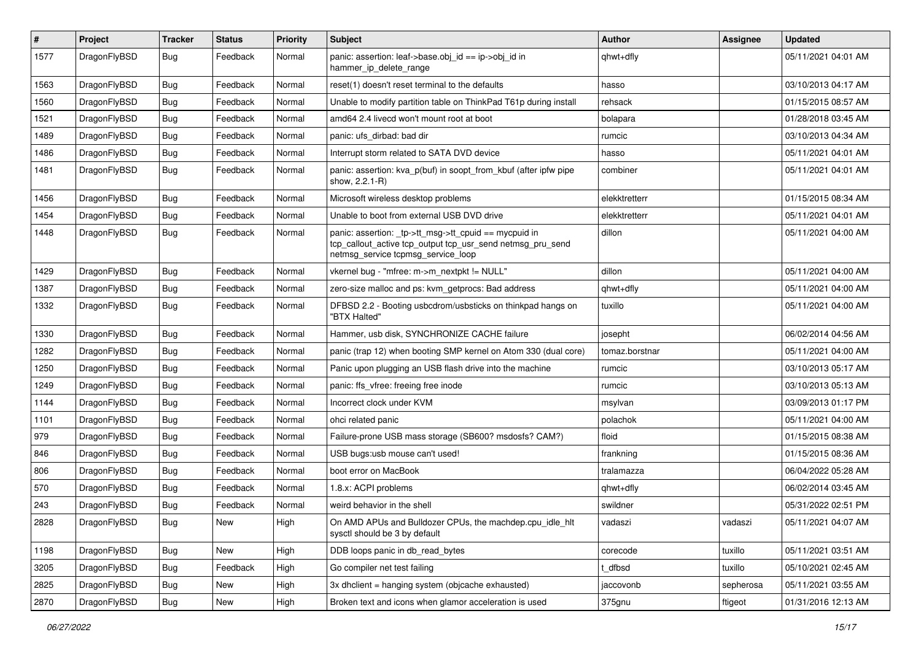| $\pmb{\#}$ | Project      | <b>Tracker</b> | <b>Status</b> | <b>Priority</b> | Subject                                                                                                                                                   | <b>Author</b>  | <b>Assignee</b> | <b>Updated</b>      |
|------------|--------------|----------------|---------------|-----------------|-----------------------------------------------------------------------------------------------------------------------------------------------------------|----------------|-----------------|---------------------|
| 1577       | DragonFlyBSD | Bug            | Feedback      | Normal          | panic: assertion: leaf->base.obj_id == ip->obj_id in<br>hammer_ip_delete_range                                                                            | qhwt+dfly      |                 | 05/11/2021 04:01 AM |
| 1563       | DragonFlyBSD | <b>Bug</b>     | Feedback      | Normal          | reset(1) doesn't reset terminal to the defaults                                                                                                           | hasso          |                 | 03/10/2013 04:17 AM |
| 1560       | DragonFlyBSD | Bug            | Feedback      | Normal          | Unable to modify partition table on ThinkPad T61p during install                                                                                          | rehsack        |                 | 01/15/2015 08:57 AM |
| 1521       | DragonFlyBSD | <b>Bug</b>     | Feedback      | Normal          | amd64 2.4 livecd won't mount root at boot                                                                                                                 | bolapara       |                 | 01/28/2018 03:45 AM |
| 1489       | DragonFlyBSD | <b>Bug</b>     | Feedback      | Normal          | panic: ufs dirbad: bad dir                                                                                                                                | rumcic         |                 | 03/10/2013 04:34 AM |
| 1486       | DragonFlyBSD | Bug            | Feedback      | Normal          | Interrupt storm related to SATA DVD device                                                                                                                | hasso          |                 | 05/11/2021 04:01 AM |
| 1481       | DragonFlyBSD | <b>Bug</b>     | Feedback      | Normal          | panic: assertion: kva_p(buf) in soopt_from_kbuf (after ipfw pipe<br>show, 2.2.1-R)                                                                        | combiner       |                 | 05/11/2021 04:01 AM |
| 1456       | DragonFlyBSD | <b>Bug</b>     | Feedback      | Normal          | Microsoft wireless desktop problems                                                                                                                       | elekktretterr  |                 | 01/15/2015 08:34 AM |
| 1454       | DragonFlyBSD | <b>Bug</b>     | Feedback      | Normal          | Unable to boot from external USB DVD drive                                                                                                                | elekktretterr  |                 | 05/11/2021 04:01 AM |
| 1448       | DragonFlyBSD | Bug            | Feedback      | Normal          | panic: assertion: _tp->tt_msg->tt_cpuid == mycpuid in<br>tcp_callout_active tcp_output tcp_usr_send netmsg_pru_send<br>netmsg_service tcpmsg_service_loop | dillon         |                 | 05/11/2021 04:00 AM |
| 1429       | DragonFlyBSD | <b>Bug</b>     | Feedback      | Normal          | vkernel bug - "mfree: m->m_nextpkt != NULL"                                                                                                               | dillon         |                 | 05/11/2021 04:00 AM |
| 1387       | DragonFlyBSD | <b>Bug</b>     | Feedback      | Normal          | zero-size malloc and ps: kvm_getprocs: Bad address                                                                                                        | qhwt+dfly      |                 | 05/11/2021 04:00 AM |
| 1332       | DragonFlyBSD | Bug            | Feedback      | Normal          | DFBSD 2.2 - Booting usbcdrom/usbsticks on thinkpad hangs on<br>"BTX Halted"                                                                               | tuxillo        |                 | 05/11/2021 04:00 AM |
| 1330       | DragonFlyBSD | Bug            | Feedback      | Normal          | Hammer, usb disk, SYNCHRONIZE CACHE failure                                                                                                               | josepht        |                 | 06/02/2014 04:56 AM |
| 1282       | DragonFlyBSD | Bug            | Feedback      | Normal          | panic (trap 12) when booting SMP kernel on Atom 330 (dual core)                                                                                           | tomaz.borstnar |                 | 05/11/2021 04:00 AM |
| 1250       | DragonFlyBSD | <b>Bug</b>     | Feedback      | Normal          | Panic upon plugging an USB flash drive into the machine                                                                                                   | rumcic         |                 | 03/10/2013 05:17 AM |
| 1249       | DragonFlyBSD | <b>Bug</b>     | Feedback      | Normal          | panic: ffs vfree: freeing free inode                                                                                                                      | rumcic         |                 | 03/10/2013 05:13 AM |
| 1144       | DragonFlyBSD | <b>Bug</b>     | Feedback      | Normal          | Incorrect clock under KVM                                                                                                                                 | msylvan        |                 | 03/09/2013 01:17 PM |
| 1101       | DragonFlyBSD | <b>Bug</b>     | Feedback      | Normal          | ohci related panic                                                                                                                                        | polachok       |                 | 05/11/2021 04:00 AM |
| 979        | DragonFlyBSD | Bug            | Feedback      | Normal          | Failure-prone USB mass storage (SB600? msdosfs? CAM?)                                                                                                     | floid          |                 | 01/15/2015 08:38 AM |
| 846        | DragonFlyBSD | Bug            | Feedback      | Normal          | USB bugs:usb mouse can't used!                                                                                                                            | frankning      |                 | 01/15/2015 08:36 AM |
| 806        | DragonFlyBSD | <b>Bug</b>     | Feedback      | Normal          | boot error on MacBook                                                                                                                                     | tralamazza     |                 | 06/04/2022 05:28 AM |
| 570        | DragonFlyBSD | Bug            | Feedback      | Normal          | 1.8.x: ACPI problems                                                                                                                                      | qhwt+dfly      |                 | 06/02/2014 03:45 AM |
| 243        | DragonFlyBSD | <b>Bug</b>     | Feedback      | Normal          | weird behavior in the shell                                                                                                                               | swildner       |                 | 05/31/2022 02:51 PM |
| 2828       | DragonFlyBSD | Bug            | New           | High            | On AMD APUs and Bulldozer CPUs, the machdep.cpu_idle_hlt<br>sysctl should be 3 by default                                                                 | vadaszi        | vadaszi         | 05/11/2021 04:07 AM |
| 1198       | DragonFlyBSD | Bug            | New           | High            | DDB loops panic in db read bytes                                                                                                                          | corecode       | tuxillo         | 05/11/2021 03:51 AM |
| 3205       | DragonFlyBSD | <b>Bug</b>     | Feedback      | High            | Go compiler net test failing                                                                                                                              | t dfbsd        | tuxillo         | 05/10/2021 02:45 AM |
| 2825       | DragonFlyBSD | <b>Bug</b>     | New           | High            | 3x dhclient = hanging system (objcache exhausted)                                                                                                         | jaccovonb      | sepherosa       | 05/11/2021 03:55 AM |
| 2870       | DragonFlyBSD | <b>Bug</b>     | New           | High            | Broken text and icons when glamor acceleration is used                                                                                                    | 375gnu         | ftigeot         | 01/31/2016 12:13 AM |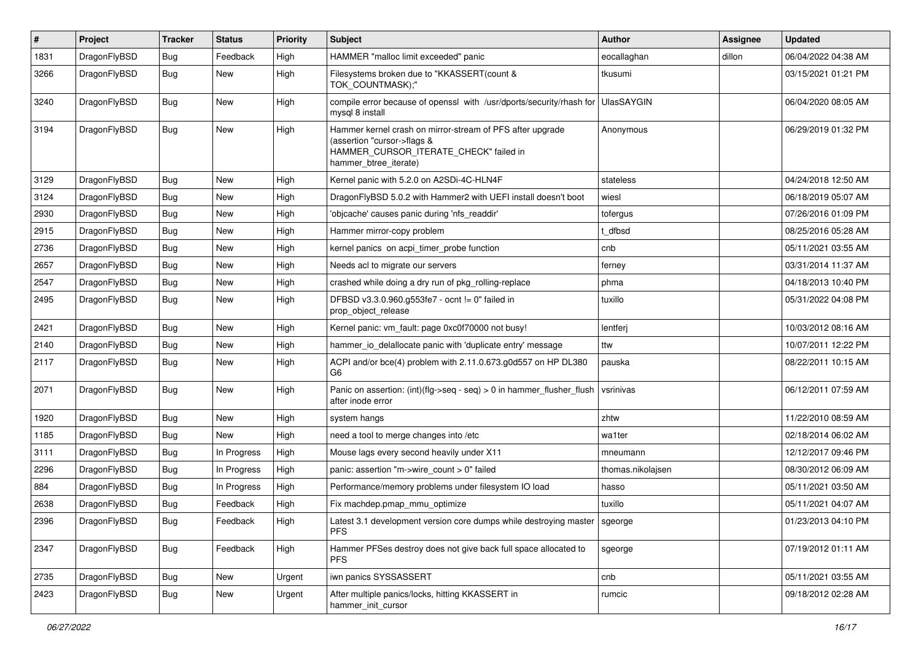| $\sharp$ | Project      | <b>Tracker</b> | <b>Status</b> | <b>Priority</b> | Subject                                                                                                                                                     | <b>Author</b>     | <b>Assignee</b> | <b>Updated</b>      |
|----------|--------------|----------------|---------------|-----------------|-------------------------------------------------------------------------------------------------------------------------------------------------------------|-------------------|-----------------|---------------------|
| 1831     | DragonFlyBSD | Bug            | Feedback      | High            | HAMMER "malloc limit exceeded" panic                                                                                                                        | eocallaghan       | dillon          | 06/04/2022 04:38 AM |
| 3266     | DragonFlyBSD | Bug            | New           | High            | Filesystems broken due to "KKASSERT(count &<br>TOK_COUNTMASK);"                                                                                             | tkusumi           |                 | 03/15/2021 01:21 PM |
| 3240     | DragonFlyBSD | <b>Bug</b>     | New           | High            | compile error because of openssl with /usr/dports/security/rhash for UlasSAYGIN<br>mysql 8 install                                                          |                   |                 | 06/04/2020 08:05 AM |
| 3194     | DragonFlyBSD | Bug            | <b>New</b>    | High            | Hammer kernel crash on mirror-stream of PFS after upgrade<br>(assertion "cursor->flags &<br>HAMMER_CURSOR_ITERATE_CHECK" failed in<br>hammer btree iterate) | Anonymous         |                 | 06/29/2019 01:32 PM |
| 3129     | DragonFlyBSD | Bug            | <b>New</b>    | High            | Kernel panic with 5.2.0 on A2SDi-4C-HLN4F                                                                                                                   | stateless         |                 | 04/24/2018 12:50 AM |
| 3124     | DragonFlyBSD | Bug            | New           | High            | DragonFlyBSD 5.0.2 with Hammer2 with UEFI install doesn't boot                                                                                              | wiesl             |                 | 06/18/2019 05:07 AM |
| 2930     | DragonFlyBSD | Bug            | New           | High            | 'objcache' causes panic during 'nfs readdir'                                                                                                                | tofergus          |                 | 07/26/2016 01:09 PM |
| 2915     | DragonFlyBSD | Bug            | <b>New</b>    | High            | Hammer mirror-copy problem                                                                                                                                  | t_dfbsd           |                 | 08/25/2016 05:28 AM |
| 2736     | DragonFlyBSD | Bug            | New           | High            | kernel panics on acpi_timer_probe function                                                                                                                  | cnb               |                 | 05/11/2021 03:55 AM |
| 2657     | DragonFlyBSD | Bug            | <b>New</b>    | High            | Needs acl to migrate our servers                                                                                                                            | ferney            |                 | 03/31/2014 11:37 AM |
| 2547     | DragonFlyBSD | Bug            | New           | High            | crashed while doing a dry run of pkg rolling-replace                                                                                                        | phma              |                 | 04/18/2013 10:40 PM |
| 2495     | DragonFlyBSD | Bug            | New           | High            | DFBSD v3.3.0.960.g553fe7 - ocnt != 0" failed in<br>prop_object_release                                                                                      | tuxillo           |                 | 05/31/2022 04:08 PM |
| 2421     | DragonFlyBSD | Bug            | New           | High            | Kernel panic: vm fault: page 0xc0f70000 not busy!                                                                                                           | lentferj          |                 | 10/03/2012 08:16 AM |
| 2140     | DragonFlyBSD | Bug            | New           | High            | hammer_io_delallocate panic with 'duplicate entry' message                                                                                                  | ttw               |                 | 10/07/2011 12:22 PM |
| 2117     | DragonFlyBSD | Bug            | <b>New</b>    | High            | ACPI and/or bce(4) problem with 2.11.0.673.g0d557 on HP DL380<br>G <sub>6</sub>                                                                             | pauska            |                 | 08/22/2011 10:15 AM |
| 2071     | DragonFlyBSD | Bug            | New           | High            | Panic on assertion: (int)(flg->seq - seq) > 0 in hammer_flusher_flush<br>after inode error                                                                  | vsrinivas         |                 | 06/12/2011 07:59 AM |
| 1920     | DragonFlyBSD | Bug            | <b>New</b>    | High            | system hangs                                                                                                                                                | zhtw              |                 | 11/22/2010 08:59 AM |
| 1185     | DragonFlyBSD | Bug            | New           | High            | need a tool to merge changes into /etc                                                                                                                      | wa1ter            |                 | 02/18/2014 06:02 AM |
| 3111     | DragonFlyBSD | Bug            | In Progress   | High            | Mouse lags every second heavily under X11                                                                                                                   | mneumann          |                 | 12/12/2017 09:46 PM |
| 2296     | DragonFlyBSD | Bug            | In Progress   | High            | panic: assertion "m->wire count > 0" failed                                                                                                                 | thomas.nikolajsen |                 | 08/30/2012 06:09 AM |
| 884      | DragonFlyBSD | Bug            | In Progress   | High            | Performance/memory problems under filesystem IO load                                                                                                        | hasso             |                 | 05/11/2021 03:50 AM |
| 2638     | DragonFlyBSD | Bug            | Feedback      | High            | Fix machdep.pmap_mmu_optimize                                                                                                                               | tuxillo           |                 | 05/11/2021 04:07 AM |
| 2396     | DragonFlyBSD | <b>Bug</b>     | Feedback      | High            | Latest 3.1 development version core dumps while destroying master   sgeorge<br><b>PFS</b>                                                                   |                   |                 | 01/23/2013 04:10 PM |
| 2347     | DragonFlyBSD | Bug            | Feedback      | High            | Hammer PFSes destroy does not give back full space allocated to<br><b>PFS</b>                                                                               | sgeorge           |                 | 07/19/2012 01:11 AM |
| 2735     | DragonFlyBSD | Bug            | New           | Urgent          | iwn panics SYSSASSERT                                                                                                                                       | cnb               |                 | 05/11/2021 03:55 AM |
| 2423     | DragonFlyBSD | <b>Bug</b>     | New           | Urgent          | After multiple panics/locks, hitting KKASSERT in<br>hammer_init_cursor                                                                                      | rumcic            |                 | 09/18/2012 02:28 AM |